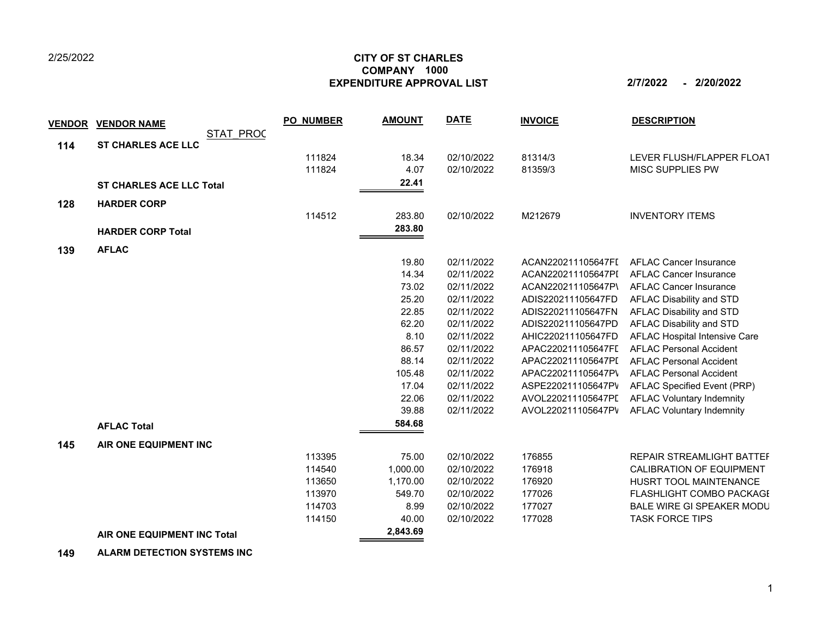## 2/25/2022

## **CITY OF ST CHARLES EXPENDITURE APPROVAL LIST 2/7/2022 - 2/20/2022 COMPANY 1000**

| <b>VENDOR</b> | <b>VENDOR NAME</b>                     | <b>PO NUMBER</b> | <b>AMOUNT</b> | <b>DATE</b> | <b>INVOICE</b>     | <b>DESCRIPTION</b>               |
|---------------|----------------------------------------|------------------|---------------|-------------|--------------------|----------------------------------|
| 114           | STAT PROC<br><b>ST CHARLES ACE LLC</b> |                  |               |             |                    |                                  |
|               |                                        | 111824           | 18.34         | 02/10/2022  | 81314/3            | LEVER FLUSH/FLAPPER FLOAT        |
|               |                                        | 111824           | 4.07          | 02/10/2022  | 81359/3            | MISC SUPPLIES PW                 |
|               | <b>ST CHARLES ACE LLC Total</b>        |                  | 22.41         |             |                    |                                  |
| 128           | <b>HARDER CORP</b>                     |                  |               |             |                    |                                  |
|               |                                        | 114512           | 283.80        | 02/10/2022  | M212679            | <b>INVENTORY ITEMS</b>           |
|               | <b>HARDER CORP Total</b>               |                  | 283.80        |             |                    |                                  |
|               | <b>AFLAC</b>                           |                  |               |             |                    |                                  |
| 139           |                                        |                  | 19.80         | 02/11/2022  | ACAN220211105647FI | <b>AFLAC Cancer Insurance</b>    |
|               |                                        |                  | 14.34         | 02/11/2022  | ACAN220211105647PI | <b>AFLAC Cancer Insurance</b>    |
|               |                                        |                  | 73.02         | 02/11/2022  | ACAN220211105647P\ | <b>AFLAC Cancer Insurance</b>    |
|               |                                        |                  | 25.20         | 02/11/2022  | ADIS220211105647FD | AFLAC Disability and STD         |
|               |                                        |                  | 22.85         | 02/11/2022  | ADIS220211105647FN | AFLAC Disability and STD         |
|               |                                        |                  | 62.20         | 02/11/2022  | ADIS220211105647PD | AFLAC Disability and STD         |
|               |                                        |                  | 8.10          | 02/11/2022  | AHIC220211105647FD | AFLAC Hospital Intensive Care    |
|               |                                        |                  | 86.57         | 02/11/2022  | APAC220211105647FL | <b>AFLAC Personal Accident</b>   |
|               |                                        |                  | 88.14         | 02/11/2022  | APAC220211105647PI | <b>AFLAC Personal Accident</b>   |
|               |                                        |                  | 105.48        | 02/11/2022  | APAC220211105647P\ | <b>AFLAC Personal Accident</b>   |
|               |                                        |                  | 17.04         | 02/11/2022  | ASPE220211105647PV | AFLAC Specified Event (PRP)      |
|               |                                        |                  | 22.06         | 02/11/2022  | AVOL220211105647PI | <b>AFLAC Voluntary Indemnity</b> |
|               |                                        |                  | 39.88         | 02/11/2022  | AVOL220211105647PV | <b>AFLAC Voluntary Indemnity</b> |
|               | <b>AFLAC Total</b>                     |                  | 584.68        |             |                    |                                  |
| 145           | AIR ONE EQUIPMENT INC                  |                  |               |             |                    |                                  |
|               |                                        | 113395           | 75.00         | 02/10/2022  | 176855             | REPAIR STREAMLIGHT BATTEF        |
|               |                                        | 114540           | 1,000.00      | 02/10/2022  | 176918             | <b>CALIBRATION OF EQUIPMENT</b>  |
|               |                                        | 113650           | 1,170.00      | 02/10/2022  | 176920             | HUSRT TOOL MAINTENANCE           |
|               |                                        | 113970           | 549.70        | 02/10/2022  | 177026             | FLASHLIGHT COMBO PACKAGE         |
|               |                                        | 114703           | 8.99          | 02/10/2022  | 177027             | BALE WIRE GI SPEAKER MODU        |
|               |                                        | 114150           | 40.00         | 02/10/2022  | 177028             | <b>TASK FORCE TIPS</b>           |
|               | AIR ONE EQUIPMENT INC Total            |                  | 2,843.69      |             |                    |                                  |

 **149 ALARM DETECTION SYSTEMS INC**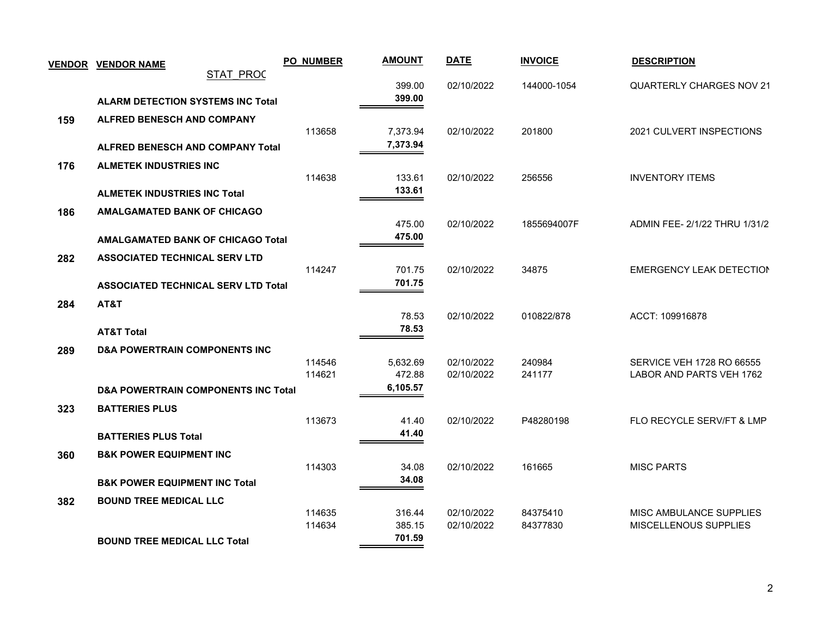|     | <b>VENDOR VENDOR NAME</b>                      | <b>PO_NUMBER</b> | <b>AMOUNT</b>      | <b>DATE</b> | <b>INVOICE</b> | <b>DESCRIPTION</b>              |
|-----|------------------------------------------------|------------------|--------------------|-------------|----------------|---------------------------------|
|     | <b>STAT PROC</b>                               |                  |                    |             |                |                                 |
|     | <b>ALARM DETECTION SYSTEMS INC Total</b>       |                  | 399.00<br>399.00   | 02/10/2022  | 144000-1054    | <b>QUARTERLY CHARGES NOV 21</b> |
|     |                                                |                  |                    |             |                |                                 |
| 159 | <b>ALFRED BENESCH AND COMPANY</b>              | 113658           | 7,373.94           | 02/10/2022  | 201800         | 2021 CULVERT INSPECTIONS        |
|     | <b>ALFRED BENESCH AND COMPANY Total</b>        |                  | 7,373.94           |             |                |                                 |
|     |                                                |                  |                    |             |                |                                 |
| 176 | <b>ALMETEK INDUSTRIES INC</b>                  | 114638           | 133.61             | 02/10/2022  | 256556         | <b>INVENTORY ITEMS</b>          |
|     | <b>ALMETEK INDUSTRIES INC Total</b>            |                  | 133.61             |             |                |                                 |
| 186 | <b>AMALGAMATED BANK OF CHICAGO</b>             |                  |                    |             |                |                                 |
|     |                                                |                  | 475.00             | 02/10/2022  | 1855694007F    | ADMIN FEE- 2/1/22 THRU 1/31/2   |
|     | <b>AMALGAMATED BANK OF CHICAGO Total</b>       |                  | 475.00             |             |                |                                 |
| 282 | <b>ASSOCIATED TECHNICAL SERV LTD</b>           |                  |                    |             |                |                                 |
|     |                                                | 114247           | 701.75             | 02/10/2022  | 34875          | <b>EMERGENCY LEAK DETECTION</b> |
|     | <b>ASSOCIATED TECHNICAL SERV LTD Total</b>     |                  | 701.75             |             |                |                                 |
| 284 | AT&T                                           |                  |                    |             |                |                                 |
|     |                                                |                  | 78.53              | 02/10/2022  | 010822/878     | ACCT: 109916878                 |
|     | <b>AT&amp;T Total</b>                          |                  | 78.53              |             |                |                                 |
| 289 | <b>D&amp;A POWERTRAIN COMPONENTS INC</b>       |                  |                    |             |                |                                 |
|     |                                                | 114546           | 5,632.69           | 02/10/2022  | 240984         | SERVICE VEH 1728 RO 66555       |
|     |                                                | 114621           | 472.88<br>6,105.57 | 02/10/2022  | 241177         | LABOR AND PARTS VEH 1762        |
|     | <b>D&amp;A POWERTRAIN COMPONENTS INC Total</b> |                  |                    |             |                |                                 |
| 323 | <b>BATTERIES PLUS</b>                          | 113673           | 41.40              | 02/10/2022  | P48280198      | FLO RECYCLE SERV/FT & LMP       |
|     | <b>BATTERIES PLUS Total</b>                    |                  | 41.40              |             |                |                                 |
|     |                                                |                  |                    |             |                |                                 |
| 360 | <b>B&amp;K POWER EQUIPMENT INC</b>             | 114303           | 34.08              | 02/10/2022  | 161665         | <b>MISC PARTS</b>               |
|     | <b>B&amp;K POWER EQUIPMENT INC Total</b>       |                  | 34.08              |             |                |                                 |
|     | <b>BOUND TREE MEDICAL LLC</b>                  |                  |                    |             |                |                                 |
| 382 |                                                | 114635           | 316.44             | 02/10/2022  | 84375410       | MISC AMBULANCE SUPPLIES         |
|     |                                                | 114634           | 385.15             | 02/10/2022  | 84377830       | MISCELLENOUS SUPPLIES           |
|     | <b>BOUND TREE MEDICAL LLC Total</b>            |                  | 701.59             |             |                |                                 |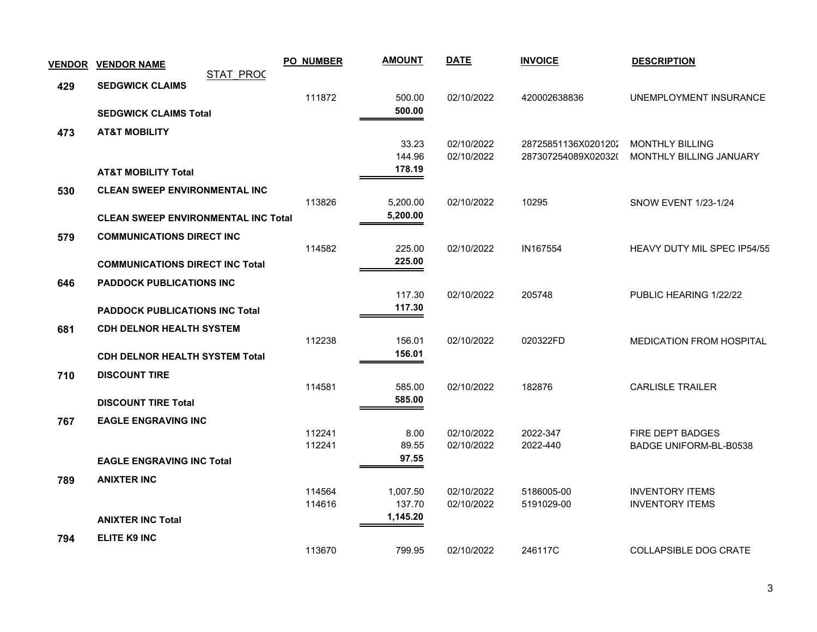| <b>VENDOR</b> | <b>VENDOR NAME</b>                         |                  | <b>PO_NUMBER</b> | <b>AMOUNT</b>    | <b>DATE</b>              | <b>INVOICE</b>                             | <b>DESCRIPTION</b>                                |
|---------------|--------------------------------------------|------------------|------------------|------------------|--------------------------|--------------------------------------------|---------------------------------------------------|
| 429           | <b>SEDGWICK CLAIMS</b>                     | <b>STAT PROC</b> |                  |                  |                          |                                            |                                                   |
|               |                                            |                  | 111872           | 500.00           | 02/10/2022               | 420002638836                               | UNEMPLOYMENT INSURANCE                            |
|               | <b>SEDGWICK CLAIMS Total</b>               |                  |                  | 500.00           |                          |                                            |                                                   |
| 473           | <b>AT&amp;T MOBILITY</b>                   |                  |                  |                  |                          |                                            |                                                   |
|               |                                            |                  |                  | 33.23<br>144.96  | 02/10/2022<br>02/10/2022 | 28725851136X0201202<br>287307254089X02032( | <b>MONTHLY BILLING</b><br>MONTHLY BILLING JANUARY |
|               | <b>AT&amp;T MOBILITY Total</b>             |                  |                  | 178.19           |                          |                                            |                                                   |
| 530           | <b>CLEAN SWEEP ENVIRONMENTAL INC</b>       |                  |                  |                  |                          |                                            |                                                   |
|               |                                            |                  | 113826           | 5,200.00         | 02/10/2022               | 10295                                      | <b>SNOW EVENT 1/23-1/24</b>                       |
|               | <b>CLEAN SWEEP ENVIRONMENTAL INC Total</b> |                  |                  | 5,200.00         |                          |                                            |                                                   |
| 579           | <b>COMMUNICATIONS DIRECT INC</b>           |                  |                  |                  |                          |                                            |                                                   |
|               |                                            |                  | 114582           | 225.00           | 02/10/2022               | IN167554                                   | <b>HEAVY DUTY MIL SPEC IP54/55</b>                |
|               | <b>COMMUNICATIONS DIRECT INC Total</b>     |                  |                  | 225.00           |                          |                                            |                                                   |
| 646           | <b>PADDOCK PUBLICATIONS INC</b>            |                  |                  |                  |                          |                                            |                                                   |
|               | <b>PADDOCK PUBLICATIONS INC Total</b>      |                  |                  | 117.30<br>117.30 | 02/10/2022               | 205748                                     | PUBLIC HEARING 1/22/22                            |
|               |                                            |                  |                  |                  |                          |                                            |                                                   |
| 681           | <b>CDH DELNOR HEALTH SYSTEM</b>            |                  | 112238           | 156.01           | 02/10/2022               | 020322FD                                   | <b>MEDICATION FROM HOSPITAL</b>                   |
|               | <b>CDH DELNOR HEALTH SYSTEM Total</b>      |                  |                  | 156.01           |                          |                                            |                                                   |
| 710           | <b>DISCOUNT TIRE</b>                       |                  |                  |                  |                          |                                            |                                                   |
|               |                                            |                  | 114581           | 585.00           | 02/10/2022               | 182876                                     | <b>CARLISLE TRAILER</b>                           |
|               | <b>DISCOUNT TIRE Total</b>                 |                  |                  | 585.00           |                          |                                            |                                                   |
| 767           | <b>EAGLE ENGRAVING INC</b>                 |                  |                  |                  |                          |                                            |                                                   |
|               |                                            |                  | 112241<br>112241 | 8.00<br>89.55    | 02/10/2022<br>02/10/2022 | 2022-347<br>2022-440                       | FIRE DEPT BADGES<br><b>BADGE UNIFORM-BL-B0538</b> |
|               | <b>EAGLE ENGRAVING INC Total</b>           |                  |                  | 97.55            |                          |                                            |                                                   |
| 789           | <b>ANIXTER INC</b>                         |                  |                  |                  |                          |                                            |                                                   |
|               |                                            |                  | 114564           | 1,007.50         | 02/10/2022               | 5186005-00                                 | <b>INVENTORY ITEMS</b>                            |
|               |                                            |                  | 114616           | 137.70           | 02/10/2022               | 5191029-00                                 | <b>INVENTORY ITEMS</b>                            |
|               | <b>ANIXTER INC Total</b>                   |                  |                  | 1,145.20         |                          |                                            |                                                   |
| 794           | <b>ELITE K9 INC</b>                        |                  |                  |                  |                          |                                            |                                                   |
|               |                                            |                  | 113670           | 799.95           | 02/10/2022               | 246117C                                    | <b>COLLAPSIBLE DOG CRATE</b>                      |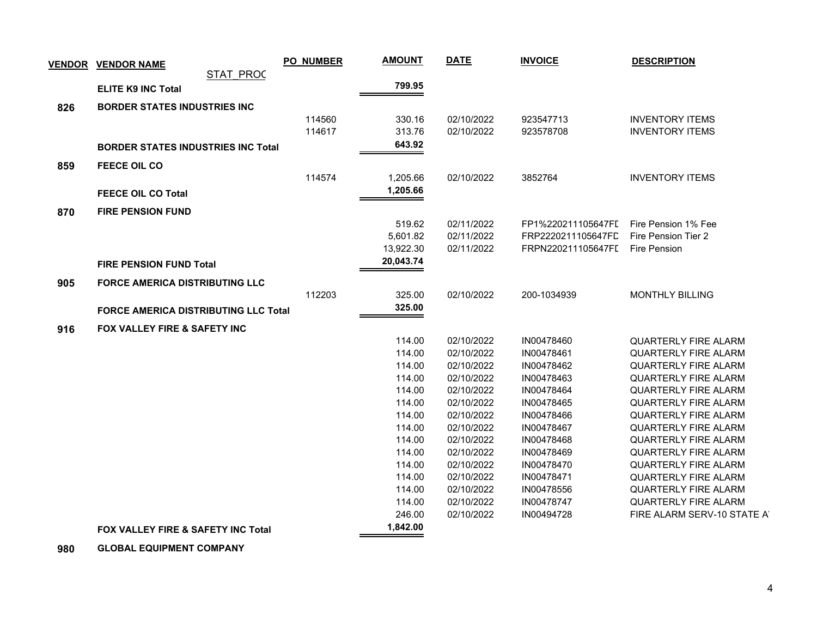| <b>VENDOR</b> | <b>VENDOR NAME</b>                          | <b>PO_NUMBER</b> | <b>AMOUNT</b> | <b>DATE</b> | <b>INVOICE</b>     | <b>DESCRIPTION</b>          |
|---------------|---------------------------------------------|------------------|---------------|-------------|--------------------|-----------------------------|
|               | <b>STAT PROC</b>                            |                  | 799.95        |             |                    |                             |
|               | <b>ELITE K9 INC Total</b>                   |                  |               |             |                    |                             |
| 826           | <b>BORDER STATES INDUSTRIES INC.</b>        |                  |               |             |                    |                             |
|               |                                             | 114560           | 330.16        | 02/10/2022  | 923547713          | <b>INVENTORY ITEMS</b>      |
|               |                                             | 114617           | 313.76        | 02/10/2022  | 923578708          | <b>INVENTORY ITEMS</b>      |
|               | <b>BORDER STATES INDUSTRIES INC Total</b>   |                  | 643.92        |             |                    |                             |
| 859           | FEECE OIL CO                                |                  |               |             |                    |                             |
|               |                                             | 114574           | 1,205.66      | 02/10/2022  | 3852764            | <b>INVENTORY ITEMS</b>      |
|               | <b>FEECE OIL CO Total</b>                   |                  | 1,205.66      |             |                    |                             |
|               |                                             |                  |               |             |                    |                             |
| 870           | <b>FIRE PENSION FUND</b>                    |                  | 519.62        | 02/11/2022  | FP1%220211105647FL | Fire Pension 1% Fee         |
|               |                                             |                  | 5,601.82      | 02/11/2022  | FRP2220211105647FL | Fire Pension Tier 2         |
|               |                                             |                  | 13,922.30     | 02/11/2022  | FRPN220211105647FL | <b>Fire Pension</b>         |
|               | <b>FIRE PENSION FUND Total</b>              |                  | 20,043.74     |             |                    |                             |
|               |                                             |                  |               |             |                    |                             |
| 905           | <b>FORCE AMERICA DISTRIBUTING LLC</b>       |                  |               |             |                    |                             |
|               |                                             | 112203           | 325.00        | 02/10/2022  | 200-1034939        | <b>MONTHLY BILLING</b>      |
|               | <b>FORCE AMERICA DISTRIBUTING LLC Total</b> |                  | 325.00        |             |                    |                             |
| 916           | <b>FOX VALLEY FIRE &amp; SAFETY INC</b>     |                  |               |             |                    |                             |
|               |                                             |                  | 114.00        | 02/10/2022  | IN00478460         | <b>QUARTERLY FIRE ALARM</b> |
|               |                                             |                  | 114.00        | 02/10/2022  | IN00478461         | <b>QUARTERLY FIRE ALARM</b> |
|               |                                             |                  | 114.00        | 02/10/2022  | IN00478462         | <b>QUARTERLY FIRE ALARM</b> |
|               |                                             |                  | 114.00        | 02/10/2022  | IN00478463         | <b>QUARTERLY FIRE ALARM</b> |
|               |                                             |                  | 114.00        | 02/10/2022  | IN00478464         | <b>QUARTERLY FIRE ALARM</b> |
|               |                                             |                  | 114.00        | 02/10/2022  | IN00478465         | <b>QUARTERLY FIRE ALARM</b> |
|               |                                             |                  | 114.00        | 02/10/2022  | IN00478466         | <b>QUARTERLY FIRE ALARM</b> |
|               |                                             |                  | 114.00        | 02/10/2022  | IN00478467         | QUARTERLY FIRE ALARM        |
|               |                                             |                  | 114.00        | 02/10/2022  | IN00478468         | <b>QUARTERLY FIRE ALARM</b> |
|               |                                             |                  | 114.00        | 02/10/2022  | IN00478469         | <b>QUARTERLY FIRE ALARM</b> |
|               |                                             |                  | 114.00        | 02/10/2022  | IN00478470         | <b>QUARTERLY FIRE ALARM</b> |
|               |                                             |                  | 114.00        | 02/10/2022  | IN00478471         | <b>QUARTERLY FIRE ALARM</b> |
|               |                                             |                  | 114.00        | 02/10/2022  | IN00478556         | <b>QUARTERLY FIRE ALARM</b> |
|               |                                             |                  | 114.00        | 02/10/2022  | IN00478747         | <b>QUARTERLY FIRE ALARM</b> |
|               |                                             |                  | 246.00        | 02/10/2022  | IN00494728         | FIRE ALARM SERV-10 STATE AT |
|               | FOX VALLEY FIRE & SAFETY INC Total          |                  | 1,842.00      |             |                    |                             |
|               |                                             |                  |               |             |                    |                             |

 **980 GLOBAL EQUIPMENT COMPANY**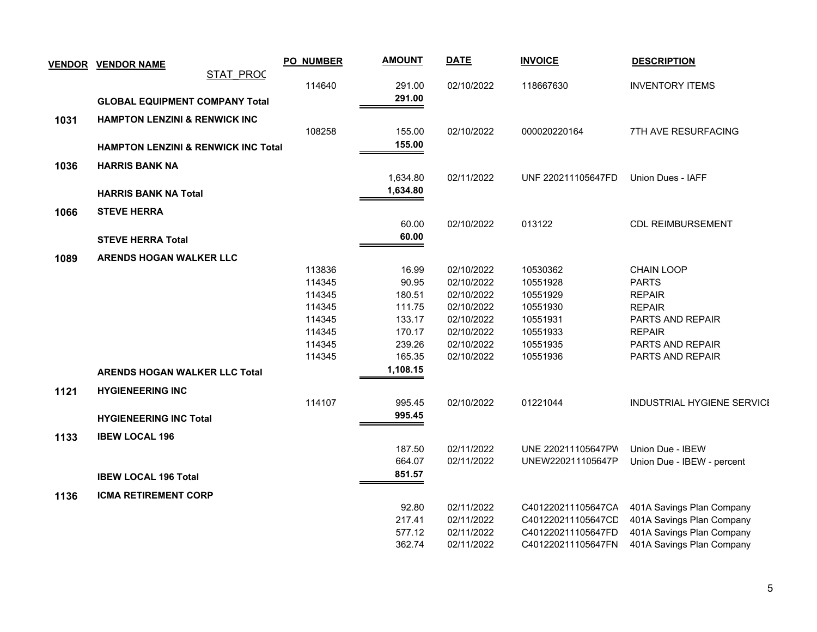|      | <b>VENDOR VENDOR NAME</b>                      | <b>PO_NUMBER</b> | <b>AMOUNT</b> | <b>DATE</b> | <b>INVOICE</b>     | <b>DESCRIPTION</b>         |
|------|------------------------------------------------|------------------|---------------|-------------|--------------------|----------------------------|
|      | <b>STAT PROC</b>                               |                  |               |             |                    |                            |
|      |                                                | 114640           | 291.00        | 02/10/2022  | 118667630          | <b>INVENTORY ITEMS</b>     |
|      | <b>GLOBAL EQUIPMENT COMPANY Total</b>          |                  | 291.00        |             |                    |                            |
| 1031 | <b>HAMPTON LENZINI &amp; RENWICK INC</b>       |                  |               |             |                    |                            |
|      |                                                | 108258           | 155.00        | 02/10/2022  | 000020220164       | 7TH AVE RESURFACING        |
|      | <b>HAMPTON LENZINI &amp; RENWICK INC Total</b> |                  | 155.00        |             |                    |                            |
|      |                                                |                  |               |             |                    |                            |
| 1036 | <b>HARRIS BANK NA</b>                          |                  |               |             |                    |                            |
|      |                                                |                  | 1,634.80      | 02/11/2022  | UNF 220211105647FD | Union Dues - IAFF          |
|      | <b>HARRIS BANK NA Total</b>                    |                  | 1,634.80      |             |                    |                            |
| 1066 | <b>STEVE HERRA</b>                             |                  |               |             |                    |                            |
|      |                                                |                  | 60.00         | 02/10/2022  | 013122             | <b>CDL REIMBURSEMENT</b>   |
|      | <b>STEVE HERRA Total</b>                       |                  | 60.00         |             |                    |                            |
|      |                                                |                  |               |             |                    |                            |
| 1089 | <b>ARENDS HOGAN WALKER LLC</b>                 | 113836           | 16.99         | 02/10/2022  | 10530362           | CHAIN LOOP                 |
|      |                                                | 114345           | 90.95         | 02/10/2022  | 10551928           | <b>PARTS</b>               |
|      |                                                | 114345           | 180.51        | 02/10/2022  | 10551929           | <b>REPAIR</b>              |
|      |                                                | 114345           | 111.75        | 02/10/2022  | 10551930           | <b>REPAIR</b>              |
|      |                                                | 114345           | 133.17        | 02/10/2022  | 10551931           | PARTS AND REPAIR           |
|      |                                                | 114345           | 170.17        | 02/10/2022  | 10551933           | <b>REPAIR</b>              |
|      |                                                | 114345           | 239.26        | 02/10/2022  | 10551935           | PARTS AND REPAIR           |
|      |                                                | 114345           | 165.35        | 02/10/2022  | 10551936           | PARTS AND REPAIR           |
|      | <b>ARENDS HOGAN WALKER LLC Total</b>           |                  | 1,108.15      |             |                    |                            |
|      | <b>HYGIENEERING INC</b>                        |                  |               |             |                    |                            |
| 1121 |                                                | 114107           | 995.45        | 02/10/2022  | 01221044           | INDUSTRIAL HYGIENE SERVICI |
|      | <b>HYGIENEERING INC Total</b>                  |                  | 995.45        |             |                    |                            |
|      |                                                |                  |               |             |                    |                            |
| 1133 | <b>IBEW LOCAL 196</b>                          |                  |               |             |                    |                            |
|      |                                                |                  | 187.50        | 02/11/2022  | UNE 220211105647PW | Union Due - IBEW           |
|      |                                                |                  | 664.07        | 02/11/2022  | UNEW220211105647P  | Union Due - IBEW - percent |
|      | <b>IBEW LOCAL 196 Total</b>                    |                  | 851.57        |             |                    |                            |
| 1136 | <b>ICMA RETIREMENT CORP</b>                    |                  |               |             |                    |                            |
|      |                                                |                  | 92.80         | 02/11/2022  | C401220211105647CA | 401A Savings Plan Company  |
|      |                                                |                  | 217.41        | 02/11/2022  | C401220211105647CD | 401A Savings Plan Company  |
|      |                                                |                  | 577.12        | 02/11/2022  | C401220211105647FD | 401A Savings Plan Company  |
|      |                                                |                  | 362.74        | 02/11/2022  | C401220211105647FN | 401A Savings Plan Company  |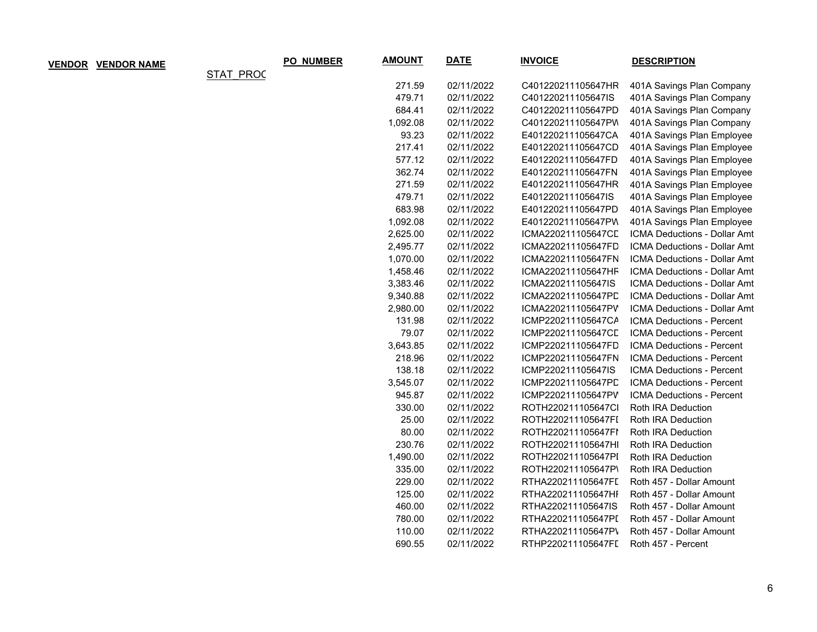| <b>VENDOR</b> | <b>VENDOR NAME</b> |                  | PO_NUMBER | <b>AMOUNT</b> | <b>DATE</b> | <b>INVOICE</b>     | <b>DESCRIPTION</b>               |
|---------------|--------------------|------------------|-----------|---------------|-------------|--------------------|----------------------------------|
|               |                    | <b>STAT PROC</b> |           |               |             |                    |                                  |
|               |                    |                  |           | 271.59        | 02/11/2022  | C401220211105647HR | 401A Savings Plan Company        |
|               |                    |                  |           | 479.71        | 02/11/2022  | C401220211105647IS | 401A Savings Plan Company        |
|               |                    |                  |           | 684.41        | 02/11/2022  | C401220211105647PD | 401A Savings Plan Company        |
|               |                    |                  |           | 1,092.08      | 02/11/2022  | C401220211105647PW | 401A Savings Plan Company        |
|               |                    |                  |           | 93.23         | 02/11/2022  | E401220211105647CA | 401A Savings Plan Employee       |
|               |                    |                  |           | 217.41        | 02/11/2022  | E401220211105647CD | 401A Savings Plan Employee       |
|               |                    |                  |           | 577.12        | 02/11/2022  | E401220211105647FD | 401A Savings Plan Employee       |
|               |                    |                  |           | 362.74        | 02/11/2022  | E401220211105647FN | 401A Savings Plan Employee       |
|               |                    |                  |           | 271.59        | 02/11/2022  | E401220211105647HR | 401A Savings Plan Employee       |
|               |                    |                  |           | 479.71        | 02/11/2022  | E401220211105647IS | 401A Savings Plan Employee       |
|               |                    |                  |           | 683.98        | 02/11/2022  | E401220211105647PD | 401A Savings Plan Employee       |
|               |                    |                  |           | 1,092.08      | 02/11/2022  | E401220211105647PW | 401A Savings Plan Employee       |
|               |                    |                  |           | 2,625.00      | 02/11/2022  | ICMA220211105647CD | ICMA Deductions - Dollar Amt     |
|               |                    |                  |           | 2,495.77      | 02/11/2022  | ICMA220211105647FD | ICMA Deductions - Dollar Amt     |
|               |                    |                  |           | 1,070.00      | 02/11/2022  | ICMA220211105647FN | ICMA Deductions - Dollar Amt     |
|               |                    |                  |           | 1,458.46      | 02/11/2022  | ICMA220211105647HF | ICMA Deductions - Dollar Amt     |
|               |                    |                  |           | 3,383.46      | 02/11/2022  | ICMA220211105647IS | ICMA Deductions - Dollar Amt     |
|               |                    |                  |           | 9,340.88      | 02/11/2022  | ICMA220211105647PD | ICMA Deductions - Dollar Amt     |
|               |                    |                  |           | 2,980.00      | 02/11/2022  | ICMA220211105647PV | ICMA Deductions - Dollar Amt     |
|               |                    |                  |           | 131.98        | 02/11/2022  | ICMP220211105647CA | ICMA Deductions - Percent        |
|               |                    |                  |           | 79.07         | 02/11/2022  | ICMP220211105647CL | <b>ICMA Deductions - Percent</b> |
|               |                    |                  |           | 3,643.85      | 02/11/2022  | ICMP220211105647FD | ICMA Deductions - Percent        |
|               |                    |                  |           | 218.96        | 02/11/2022  | ICMP220211105647FN | ICMA Deductions - Percent        |
|               |                    |                  |           | 138.18        | 02/11/2022  | ICMP220211105647IS | ICMA Deductions - Percent        |
|               |                    |                  |           | 3,545.07      | 02/11/2022  | ICMP220211105647PD | ICMA Deductions - Percent        |
|               |                    |                  |           | 945.87        | 02/11/2022  | ICMP220211105647PV | ICMA Deductions - Percent        |
|               |                    |                  |           | 330.00        | 02/11/2022  | ROTH220211105647Cl | Roth IRA Deduction               |
|               |                    |                  |           | 25.00         | 02/11/2022  | ROTH220211105647FI | Roth IRA Deduction               |
|               |                    |                  |           | 80.00         | 02/11/2022  | ROTH220211105647FI | Roth IRA Deduction               |
|               |                    |                  |           | 230.76        | 02/11/2022  | ROTH220211105647HI | Roth IRA Deduction               |
|               |                    |                  |           | 1,490.00      | 02/11/2022  | ROTH220211105647PI | Roth IRA Deduction               |
|               |                    |                  |           | 335.00        | 02/11/2022  | ROTH220211105647P\ | Roth IRA Deduction               |
|               |                    |                  |           | 229.00        | 02/11/2022  | RTHA220211105647FI | Roth 457 - Dollar Amount         |
|               |                    |                  |           | 125.00        | 02/11/2022  | RTHA220211105647HI | Roth 457 - Dollar Amount         |
|               |                    |                  |           | 460.00        | 02/11/2022  | RTHA220211105647IS | Roth 457 - Dollar Amount         |
|               |                    |                  |           | 780.00        | 02/11/2022  | RTHA220211105647PI | Roth 457 - Dollar Amount         |
|               |                    |                  |           | 110.00        | 02/11/2022  | RTHA220211105647P\ | Roth 457 - Dollar Amount         |
|               |                    |                  |           | 690.55        | 02/11/2022  | RTHP220211105647FI | Roth 457 - Percent               |

6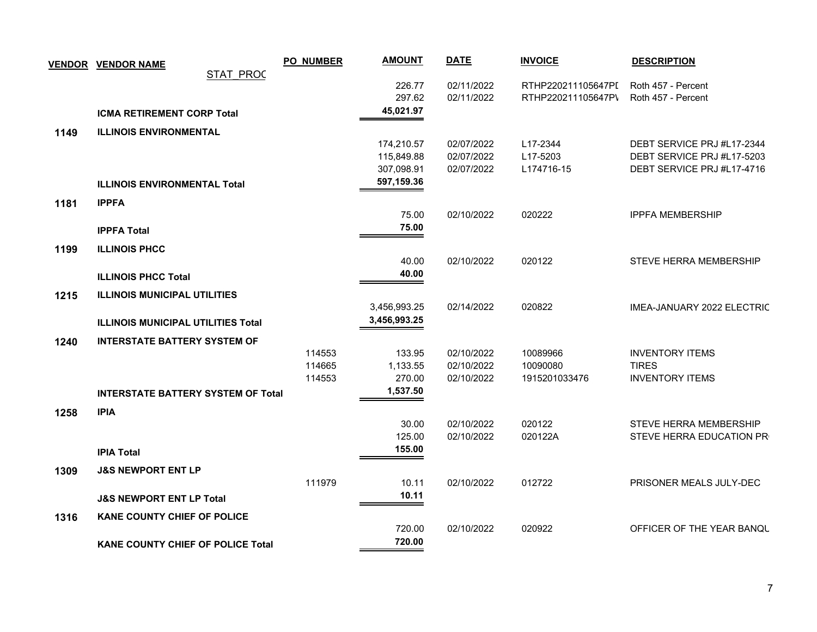| <b>STAT PROC</b><br>02/11/2022<br>226.77<br>RTHP220211105647PI<br>Roth 457 - Percent<br>02/11/2022<br>297.62<br>RTHP220211105647P\<br>Roth 457 - Percent<br>45,021.97<br><b>ICMA RETIREMENT CORP Total</b><br><b>ILLINOIS ENVIRONMENTAL</b><br>1149<br>02/07/2022<br>L17-2344<br>DEBT SERVICE PRJ #L17-2344<br>174,210.57<br>02/07/2022<br>L17-5203<br>DEBT SERVICE PRJ #L17-5203<br>115,849.88<br>DEBT SERVICE PRJ #L17-4716<br>307,098.91<br>02/07/2022<br>L174716-15<br>597,159.36<br><b>ILLINOIS ENVIRONMENTAL Total</b><br><b>IPPFA</b><br>1181<br>75.00<br>020222<br><b>IPPFA MEMBERSHIP</b><br>02/10/2022<br>75.00<br><b>IPPFA Total</b><br>1199<br><b>ILLINOIS PHCC</b><br>02/10/2022<br>020122<br><b>STEVE HERRA MEMBERSHIP</b><br>40.00<br>40.00<br><b>ILLINOIS PHCC Total</b><br><b>ILLINOIS MUNICIPAL UTILITIES</b><br>1215<br>02/14/2022<br>020822<br>IMEA-JANUARY 2022 ELECTRIC<br>3,456,993.25<br>3,456,993.25<br><b>ILLINOIS MUNICIPAL UTILITIES Total</b><br><b>INTERSTATE BATTERY SYSTEM OF</b><br>1240<br>114553<br>02/10/2022<br><b>INVENTORY ITEMS</b><br>133.95<br>10089966<br><b>TIRES</b><br>114665<br>1,133.55<br>02/10/2022<br>10090080<br><b>INVENTORY ITEMS</b><br>114553<br>270.00<br>1915201033476<br>02/10/2022<br>1,537.50<br><b>INTERSTATE BATTERY SYSTEM OF Total</b><br>1258<br><b>IPIA</b><br>02/10/2022<br>020122<br>30.00<br><b>STEVE HERRA MEMBERSHIP</b><br>020122A<br>125.00<br>02/10/2022<br>STEVE HERRA EDUCATION PR<br>155.00<br><b>IPIA Total</b><br><b>J&amp;S NEWPORT ENT LP</b><br>1309<br>111979<br>012722<br>10.11<br>02/10/2022<br>PRISONER MEALS JULY-DEC<br>10.11<br><b>J&amp;S NEWPORT ENT LP Total</b><br><b>KANE COUNTY CHIEF OF POLICE</b><br>1316<br>02/10/2022<br>OFFICER OF THE YEAR BANQU<br>720.00<br>020922 | <b>VENDOR VENDOR NAME</b> | <b>PO NUMBER</b> | <b>AMOUNT</b> | <b>DATE</b> | <b>INVOICE</b> | <b>DESCRIPTION</b> |
|----------------------------------------------------------------------------------------------------------------------------------------------------------------------------------------------------------------------------------------------------------------------------------------------------------------------------------------------------------------------------------------------------------------------------------------------------------------------------------------------------------------------------------------------------------------------------------------------------------------------------------------------------------------------------------------------------------------------------------------------------------------------------------------------------------------------------------------------------------------------------------------------------------------------------------------------------------------------------------------------------------------------------------------------------------------------------------------------------------------------------------------------------------------------------------------------------------------------------------------------------------------------------------------------------------------------------------------------------------------------------------------------------------------------------------------------------------------------------------------------------------------------------------------------------------------------------------------------------------------------------------------------------------------------------------------------------------------------------------------------------------------------------|---------------------------|------------------|---------------|-------------|----------------|--------------------|
|                                                                                                                                                                                                                                                                                                                                                                                                                                                                                                                                                                                                                                                                                                                                                                                                                                                                                                                                                                                                                                                                                                                                                                                                                                                                                                                                                                                                                                                                                                                                                                                                                                                                                                                                                                            |                           |                  |               |             |                |                    |
|                                                                                                                                                                                                                                                                                                                                                                                                                                                                                                                                                                                                                                                                                                                                                                                                                                                                                                                                                                                                                                                                                                                                                                                                                                                                                                                                                                                                                                                                                                                                                                                                                                                                                                                                                                            |                           |                  |               |             |                |                    |
|                                                                                                                                                                                                                                                                                                                                                                                                                                                                                                                                                                                                                                                                                                                                                                                                                                                                                                                                                                                                                                                                                                                                                                                                                                                                                                                                                                                                                                                                                                                                                                                                                                                                                                                                                                            |                           |                  |               |             |                |                    |
|                                                                                                                                                                                                                                                                                                                                                                                                                                                                                                                                                                                                                                                                                                                                                                                                                                                                                                                                                                                                                                                                                                                                                                                                                                                                                                                                                                                                                                                                                                                                                                                                                                                                                                                                                                            |                           |                  |               |             |                |                    |
|                                                                                                                                                                                                                                                                                                                                                                                                                                                                                                                                                                                                                                                                                                                                                                                                                                                                                                                                                                                                                                                                                                                                                                                                                                                                                                                                                                                                                                                                                                                                                                                                                                                                                                                                                                            |                           |                  |               |             |                |                    |
|                                                                                                                                                                                                                                                                                                                                                                                                                                                                                                                                                                                                                                                                                                                                                                                                                                                                                                                                                                                                                                                                                                                                                                                                                                                                                                                                                                                                                                                                                                                                                                                                                                                                                                                                                                            |                           |                  |               |             |                |                    |
|                                                                                                                                                                                                                                                                                                                                                                                                                                                                                                                                                                                                                                                                                                                                                                                                                                                                                                                                                                                                                                                                                                                                                                                                                                                                                                                                                                                                                                                                                                                                                                                                                                                                                                                                                                            |                           |                  |               |             |                |                    |
|                                                                                                                                                                                                                                                                                                                                                                                                                                                                                                                                                                                                                                                                                                                                                                                                                                                                                                                                                                                                                                                                                                                                                                                                                                                                                                                                                                                                                                                                                                                                                                                                                                                                                                                                                                            |                           |                  |               |             |                |                    |
|                                                                                                                                                                                                                                                                                                                                                                                                                                                                                                                                                                                                                                                                                                                                                                                                                                                                                                                                                                                                                                                                                                                                                                                                                                                                                                                                                                                                                                                                                                                                                                                                                                                                                                                                                                            |                           |                  |               |             |                |                    |
|                                                                                                                                                                                                                                                                                                                                                                                                                                                                                                                                                                                                                                                                                                                                                                                                                                                                                                                                                                                                                                                                                                                                                                                                                                                                                                                                                                                                                                                                                                                                                                                                                                                                                                                                                                            |                           |                  |               |             |                |                    |
|                                                                                                                                                                                                                                                                                                                                                                                                                                                                                                                                                                                                                                                                                                                                                                                                                                                                                                                                                                                                                                                                                                                                                                                                                                                                                                                                                                                                                                                                                                                                                                                                                                                                                                                                                                            |                           |                  |               |             |                |                    |
|                                                                                                                                                                                                                                                                                                                                                                                                                                                                                                                                                                                                                                                                                                                                                                                                                                                                                                                                                                                                                                                                                                                                                                                                                                                                                                                                                                                                                                                                                                                                                                                                                                                                                                                                                                            |                           |                  |               |             |                |                    |
|                                                                                                                                                                                                                                                                                                                                                                                                                                                                                                                                                                                                                                                                                                                                                                                                                                                                                                                                                                                                                                                                                                                                                                                                                                                                                                                                                                                                                                                                                                                                                                                                                                                                                                                                                                            |                           |                  |               |             |                |                    |
|                                                                                                                                                                                                                                                                                                                                                                                                                                                                                                                                                                                                                                                                                                                                                                                                                                                                                                                                                                                                                                                                                                                                                                                                                                                                                                                                                                                                                                                                                                                                                                                                                                                                                                                                                                            |                           |                  |               |             |                |                    |
|                                                                                                                                                                                                                                                                                                                                                                                                                                                                                                                                                                                                                                                                                                                                                                                                                                                                                                                                                                                                                                                                                                                                                                                                                                                                                                                                                                                                                                                                                                                                                                                                                                                                                                                                                                            |                           |                  |               |             |                |                    |
|                                                                                                                                                                                                                                                                                                                                                                                                                                                                                                                                                                                                                                                                                                                                                                                                                                                                                                                                                                                                                                                                                                                                                                                                                                                                                                                                                                                                                                                                                                                                                                                                                                                                                                                                                                            |                           |                  |               |             |                |                    |
|                                                                                                                                                                                                                                                                                                                                                                                                                                                                                                                                                                                                                                                                                                                                                                                                                                                                                                                                                                                                                                                                                                                                                                                                                                                                                                                                                                                                                                                                                                                                                                                                                                                                                                                                                                            |                           |                  |               |             |                |                    |
|                                                                                                                                                                                                                                                                                                                                                                                                                                                                                                                                                                                                                                                                                                                                                                                                                                                                                                                                                                                                                                                                                                                                                                                                                                                                                                                                                                                                                                                                                                                                                                                                                                                                                                                                                                            |                           |                  |               |             |                |                    |
|                                                                                                                                                                                                                                                                                                                                                                                                                                                                                                                                                                                                                                                                                                                                                                                                                                                                                                                                                                                                                                                                                                                                                                                                                                                                                                                                                                                                                                                                                                                                                                                                                                                                                                                                                                            |                           |                  |               |             |                |                    |
|                                                                                                                                                                                                                                                                                                                                                                                                                                                                                                                                                                                                                                                                                                                                                                                                                                                                                                                                                                                                                                                                                                                                                                                                                                                                                                                                                                                                                                                                                                                                                                                                                                                                                                                                                                            |                           |                  |               |             |                |                    |
|                                                                                                                                                                                                                                                                                                                                                                                                                                                                                                                                                                                                                                                                                                                                                                                                                                                                                                                                                                                                                                                                                                                                                                                                                                                                                                                                                                                                                                                                                                                                                                                                                                                                                                                                                                            |                           |                  |               |             |                |                    |
|                                                                                                                                                                                                                                                                                                                                                                                                                                                                                                                                                                                                                                                                                                                                                                                                                                                                                                                                                                                                                                                                                                                                                                                                                                                                                                                                                                                                                                                                                                                                                                                                                                                                                                                                                                            |                           |                  |               |             |                |                    |
|                                                                                                                                                                                                                                                                                                                                                                                                                                                                                                                                                                                                                                                                                                                                                                                                                                                                                                                                                                                                                                                                                                                                                                                                                                                                                                                                                                                                                                                                                                                                                                                                                                                                                                                                                                            |                           |                  |               |             |                |                    |
|                                                                                                                                                                                                                                                                                                                                                                                                                                                                                                                                                                                                                                                                                                                                                                                                                                                                                                                                                                                                                                                                                                                                                                                                                                                                                                                                                                                                                                                                                                                                                                                                                                                                                                                                                                            |                           |                  |               |             |                |                    |
|                                                                                                                                                                                                                                                                                                                                                                                                                                                                                                                                                                                                                                                                                                                                                                                                                                                                                                                                                                                                                                                                                                                                                                                                                                                                                                                                                                                                                                                                                                                                                                                                                                                                                                                                                                            |                           |                  |               |             |                |                    |
|                                                                                                                                                                                                                                                                                                                                                                                                                                                                                                                                                                                                                                                                                                                                                                                                                                                                                                                                                                                                                                                                                                                                                                                                                                                                                                                                                                                                                                                                                                                                                                                                                                                                                                                                                                            |                           |                  |               |             |                |                    |
|                                                                                                                                                                                                                                                                                                                                                                                                                                                                                                                                                                                                                                                                                                                                                                                                                                                                                                                                                                                                                                                                                                                                                                                                                                                                                                                                                                                                                                                                                                                                                                                                                                                                                                                                                                            |                           |                  |               |             |                |                    |
|                                                                                                                                                                                                                                                                                                                                                                                                                                                                                                                                                                                                                                                                                                                                                                                                                                                                                                                                                                                                                                                                                                                                                                                                                                                                                                                                                                                                                                                                                                                                                                                                                                                                                                                                                                            |                           |                  |               |             |                |                    |
|                                                                                                                                                                                                                                                                                                                                                                                                                                                                                                                                                                                                                                                                                                                                                                                                                                                                                                                                                                                                                                                                                                                                                                                                                                                                                                                                                                                                                                                                                                                                                                                                                                                                                                                                                                            |                           |                  |               |             |                |                    |
|                                                                                                                                                                                                                                                                                                                                                                                                                                                                                                                                                                                                                                                                                                                                                                                                                                                                                                                                                                                                                                                                                                                                                                                                                                                                                                                                                                                                                                                                                                                                                                                                                                                                                                                                                                            |                           |                  |               |             |                |                    |
|                                                                                                                                                                                                                                                                                                                                                                                                                                                                                                                                                                                                                                                                                                                                                                                                                                                                                                                                                                                                                                                                                                                                                                                                                                                                                                                                                                                                                                                                                                                                                                                                                                                                                                                                                                            |                           |                  |               |             |                |                    |
|                                                                                                                                                                                                                                                                                                                                                                                                                                                                                                                                                                                                                                                                                                                                                                                                                                                                                                                                                                                                                                                                                                                                                                                                                                                                                                                                                                                                                                                                                                                                                                                                                                                                                                                                                                            |                           |                  |               |             |                |                    |
| <b>KANE COUNTY CHIEF OF POLICE Total</b>                                                                                                                                                                                                                                                                                                                                                                                                                                                                                                                                                                                                                                                                                                                                                                                                                                                                                                                                                                                                                                                                                                                                                                                                                                                                                                                                                                                                                                                                                                                                                                                                                                                                                                                                   |                           |                  | 720.00        |             |                |                    |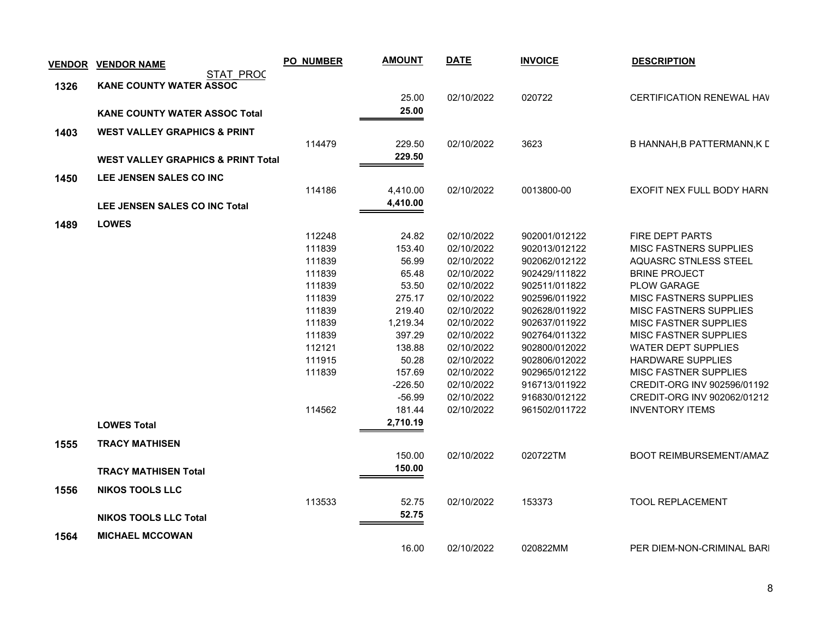| <b>VENDOR</b> | <b>VENDOR NAME</b>                            | <b>PO_NUMBER</b> | <b>AMOUNT</b>   | <b>DATE</b>              | <b>INVOICE</b>                 | <b>DESCRIPTION</b>                               |
|---------------|-----------------------------------------------|------------------|-----------------|--------------------------|--------------------------------|--------------------------------------------------|
|               | <b>STAT PROC</b>                              |                  |                 |                          |                                |                                                  |
| 1326          | <b>KANE COUNTY WATER ASSOC</b>                |                  | 25.00           | 02/10/2022               | 020722                         | CERTIFICATION RENEWAL HAV                        |
|               |                                               |                  | 25.00           |                          |                                |                                                  |
|               | <b>KANE COUNTY WATER ASSOC Total</b>          |                  |                 |                          |                                |                                                  |
| 1403          | <b>WEST VALLEY GRAPHICS &amp; PRINT</b>       |                  |                 |                          |                                |                                                  |
|               |                                               | 114479           | 229.50          | 02/10/2022               | 3623                           | B HANNAH, B PATTERMANN, K L                      |
|               | <b>WEST VALLEY GRAPHICS &amp; PRINT Total</b> |                  | 229.50          |                          |                                |                                                  |
| 1450          | LEE JENSEN SALES CO INC                       |                  |                 |                          |                                |                                                  |
|               |                                               | 114186           | 4,410.00        | 02/10/2022               | 0013800-00                     | <b>EXOFIT NEX FULL BODY HARN</b>                 |
|               | LEE JENSEN SALES CO INC Total                 |                  | 4,410.00        |                          |                                |                                                  |
|               |                                               |                  |                 |                          |                                |                                                  |
| 1489          | <b>LOWES</b>                                  |                  |                 |                          |                                |                                                  |
|               |                                               | 112248<br>111839 | 24.82<br>153.40 | 02/10/2022<br>02/10/2022 | 902001/012122<br>902013/012122 | <b>FIRE DEPT PARTS</b><br>MISC FASTNERS SUPPLIES |
|               |                                               | 111839           | 56.99           | 02/10/2022               | 902062/012122                  | <b>AQUASRC STNLESS STEEL</b>                     |
|               |                                               | 111839           | 65.48           | 02/10/2022               | 902429/111822                  | <b>BRINE PROJECT</b>                             |
|               |                                               | 111839           | 53.50           | 02/10/2022               | 902511/011822                  | <b>PLOW GARAGE</b>                               |
|               |                                               | 111839           | 275.17          | 02/10/2022               | 902596/011922                  | <b>MISC FASTNERS SUPPLIES</b>                    |
|               |                                               | 111839           | 219.40          | 02/10/2022               | 902628/011922                  | <b>MISC FASTNERS SUPPLIES</b>                    |
|               |                                               | 111839           | 1,219.34        | 02/10/2022               | 902637/011922                  | <b>MISC FASTNER SUPPLIES</b>                     |
|               |                                               | 111839           | 397.29          | 02/10/2022               | 902764/011322                  | MISC FASTNER SUPPLIES                            |
|               |                                               | 112121           | 138.88          | 02/10/2022               | 902800/012022                  | <b>WATER DEPT SUPPLIES</b>                       |
|               |                                               | 111915           | 50.28           | 02/10/2022               | 902806/012022                  | <b>HARDWARE SUPPLIES</b>                         |
|               |                                               | 111839           | 157.69          | 02/10/2022               | 902965/012122                  | <b>MISC FASTNER SUPPLIES</b>                     |
|               |                                               |                  | $-226.50$       | 02/10/2022               | 916713/011922                  | CREDIT-ORG INV 902596/01192                      |
|               |                                               |                  | $-56.99$        | 02/10/2022               | 916830/012122                  | CREDIT-ORG INV 902062/01212                      |
|               |                                               | 114562           | 181.44          | 02/10/2022               | 961502/011722                  | <b>INVENTORY ITEMS</b>                           |
|               | <b>LOWES Total</b>                            |                  | 2,710.19        |                          |                                |                                                  |
| 1555          | <b>TRACY MATHISEN</b>                         |                  |                 |                          |                                |                                                  |
|               |                                               |                  | 150.00          | 02/10/2022               | 020722TM                       | BOOT REIMBURSEMENT/AMAZ                          |
|               | <b>TRACY MATHISEN Total</b>                   |                  | 150.00          |                          |                                |                                                  |
|               |                                               |                  |                 |                          |                                |                                                  |
| 1556          | <b>NIKOS TOOLS LLC</b>                        |                  |                 |                          |                                |                                                  |
|               |                                               | 113533           | 52.75<br>52.75  | 02/10/2022               | 153373                         | TOOL REPLACEMENT                                 |
|               | <b>NIKOS TOOLS LLC Total</b>                  |                  |                 |                          |                                |                                                  |
| 1564          | <b>MICHAEL MCCOWAN</b>                        |                  |                 |                          |                                |                                                  |
|               |                                               |                  | 16.00           | 02/10/2022               | 020822MM                       | PER DIEM-NON-CRIMINAL BARI                       |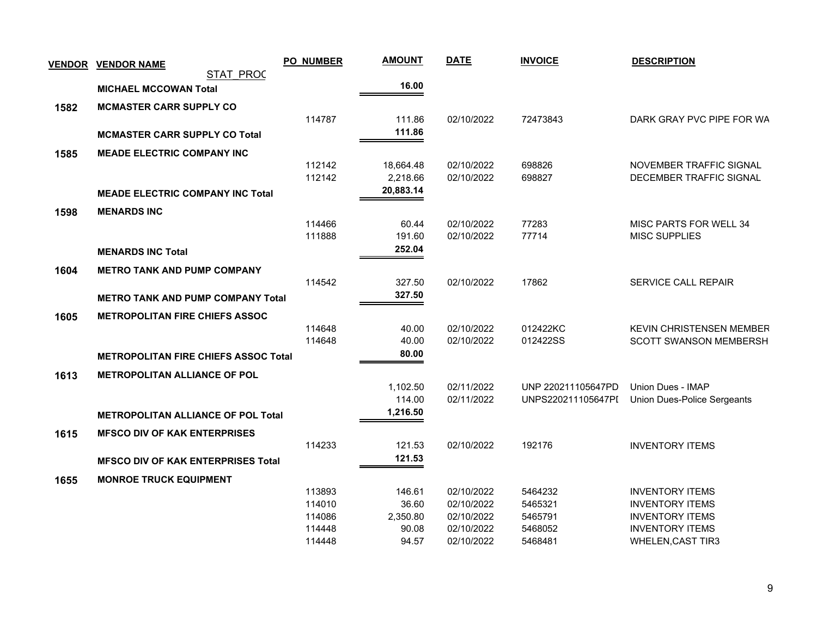| <b>VENDOR</b> | <b>VENDOR NAME</b>                          | <b>PO_NUMBER</b> | <b>AMOUNT</b>     | <b>DATE</b>              | <b>INVOICE</b>     | <b>DESCRIPTION</b>                               |
|---------------|---------------------------------------------|------------------|-------------------|--------------------------|--------------------|--------------------------------------------------|
|               | <b>STAT PROC</b>                            |                  |                   |                          |                    |                                                  |
|               | <b>MICHAEL MCCOWAN Total</b>                |                  | 16.00             |                          |                    |                                                  |
| 1582          | <b>MCMASTER CARR SUPPLY CO</b>              |                  |                   |                          |                    |                                                  |
|               |                                             | 114787           | 111.86            | 02/10/2022               | 72473843           | DARK GRAY PVC PIPE FOR WA                        |
|               | <b>MCMASTER CARR SUPPLY CO Total</b>        |                  | 111.86            |                          |                    |                                                  |
| 1585          | <b>MEADE ELECTRIC COMPANY INC</b>           |                  |                   |                          |                    |                                                  |
|               |                                             | 112142           | 18,664.48         | 02/10/2022               | 698826             | NOVEMBER TRAFFIC SIGNAL                          |
|               |                                             | 112142           | 2,218.66          | 02/10/2022               | 698827             | DECEMBER TRAFFIC SIGNAL                          |
|               | <b>MEADE ELECTRIC COMPANY INC Total</b>     |                  | 20,883.14         |                          |                    |                                                  |
| 1598          | <b>MENARDS INC</b>                          |                  |                   |                          |                    |                                                  |
|               |                                             | 114466           | 60.44             | 02/10/2022               | 77283              | MISC PARTS FOR WELL 34                           |
|               |                                             | 111888           | 191.60            | 02/10/2022               | 77714              | <b>MISC SUPPLIES</b>                             |
|               | <b>MENARDS INC Total</b>                    |                  | 252.04            |                          |                    |                                                  |
| 1604          | <b>METRO TANK AND PUMP COMPANY</b>          |                  |                   |                          |                    |                                                  |
|               |                                             | 114542           | 327.50            | 02/10/2022               | 17862              | SERVICE CALL REPAIR                              |
|               | <b>METRO TANK AND PUMP COMPANY Total</b>    |                  | 327.50            |                          |                    |                                                  |
|               |                                             |                  |                   |                          |                    |                                                  |
| 1605          | <b>METROPOLITAN FIRE CHIEFS ASSOC</b>       | 114648           | 40.00             | 02/10/2022               | 012422KC           | <b>KEVIN CHRISTENSEN MEMBER</b>                  |
|               |                                             | 114648           | 40.00             | 02/10/2022               | 012422SS           | <b>SCOTT SWANSON MEMBERSH</b>                    |
|               | <b>METROPOLITAN FIRE CHIEFS ASSOC Total</b> |                  | 80.00             |                          |                    |                                                  |
|               |                                             |                  |                   |                          |                    |                                                  |
| 1613          | <b>METROPOLITAN ALLIANCE OF POL</b>         |                  | 1,102.50          | 02/11/2022               | UNP 220211105647PD | Union Dues - IMAP                                |
|               |                                             |                  | 114.00            | 02/11/2022               | UNPS220211105647PI | Union Dues-Police Sergeants                      |
|               | <b>METROPOLITAN ALLIANCE OF POL Total</b>   |                  | 1,216.50          |                          |                    |                                                  |
|               |                                             |                  |                   |                          |                    |                                                  |
| 1615          | <b>MFSCO DIV OF KAK ENTERPRISES</b>         | 114233           | 121.53            | 02/10/2022               | 192176             | <b>INVENTORY ITEMS</b>                           |
|               |                                             |                  | 121.53            |                          |                    |                                                  |
|               | <b>MFSCO DIV OF KAK ENTERPRISES Total</b>   |                  |                   |                          |                    |                                                  |
| 1655          |                                             |                  |                   |                          |                    |                                                  |
|               | <b>MONROE TRUCK EQUIPMENT</b>               |                  |                   |                          |                    |                                                  |
|               |                                             | 113893           | 146.61            | 02/10/2022               | 5464232            | <b>INVENTORY ITEMS</b>                           |
|               |                                             | 114010           | 36.60             | 02/10/2022               | 5465321            | <b>INVENTORY ITEMS</b>                           |
|               |                                             | 114086<br>114448 | 2,350.80<br>90.08 | 02/10/2022<br>02/10/2022 | 5465791<br>5468052 | <b>INVENTORY ITEMS</b><br><b>INVENTORY ITEMS</b> |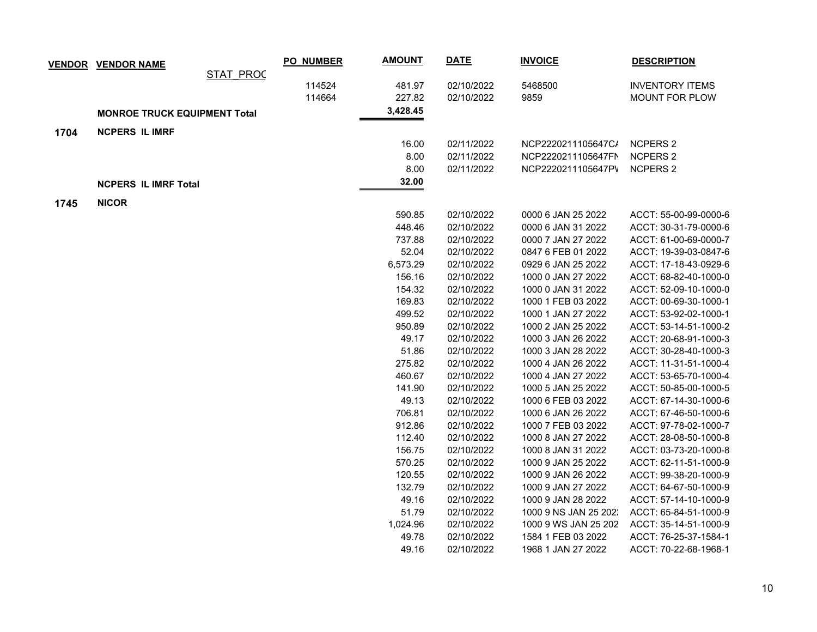|      | <b>VENDOR VENDOR NAME</b>           |                  | <b>PO_NUMBER</b> | <b>AMOUNT</b> | <u>DATE</u> | <b>INVOICE</b>        | <b>DESCRIPTION</b>     |
|------|-------------------------------------|------------------|------------------|---------------|-------------|-----------------------|------------------------|
|      |                                     | <b>STAT PROC</b> |                  |               |             |                       |                        |
|      |                                     |                  | 114524           | 481.97        | 02/10/2022  | 5468500               | <b>INVENTORY ITEMS</b> |
|      |                                     |                  | 114664           | 227.82        | 02/10/2022  | 9859                  | MOUNT FOR PLOW         |
|      | <b>MONROE TRUCK EQUIPMENT Total</b> |                  |                  | 3,428.45      |             |                       |                        |
| 1704 | <b>NCPERS IL IMRF</b>               |                  |                  |               |             |                       |                        |
|      |                                     |                  |                  | 16.00         | 02/11/2022  | NCP2220211105647C/    | <b>NCPERS 2</b>        |
|      |                                     |                  |                  | 8.00          | 02/11/2022  | NCP2220211105647FN    | <b>NCPERS 2</b>        |
|      |                                     |                  |                  | 8.00          | 02/11/2022  | NCP2220211105647PV    | <b>NCPERS 2</b>        |
|      |                                     |                  |                  | 32.00         |             |                       |                        |
|      | <b>NCPERS IL IMRF Total</b>         |                  |                  |               |             |                       |                        |
| 1745 | <b>NICOR</b>                        |                  |                  |               |             |                       |                        |
|      |                                     |                  |                  | 590.85        | 02/10/2022  | 0000 6 JAN 25 2022    | ACCT: 55-00-99-0000-6  |
|      |                                     |                  |                  | 448.46        | 02/10/2022  | 0000 6 JAN 31 2022    | ACCT: 30-31-79-0000-6  |
|      |                                     |                  |                  | 737.88        | 02/10/2022  | 0000 7 JAN 27 2022    | ACCT: 61-00-69-0000-7  |
|      |                                     |                  |                  | 52.04         | 02/10/2022  | 0847 6 FEB 01 2022    | ACCT: 19-39-03-0847-6  |
|      |                                     |                  |                  | 6,573.29      | 02/10/2022  | 0929 6 JAN 25 2022    | ACCT: 17-18-43-0929-6  |
|      |                                     |                  |                  | 156.16        | 02/10/2022  | 1000 0 JAN 27 2022    | ACCT: 68-82-40-1000-0  |
|      |                                     |                  |                  | 154.32        | 02/10/2022  | 1000 0 JAN 31 2022    | ACCT: 52-09-10-1000-0  |
|      |                                     |                  |                  | 169.83        | 02/10/2022  | 1000 1 FEB 03 2022    | ACCT: 00-69-30-1000-1  |
|      |                                     |                  |                  | 499.52        | 02/10/2022  | 1000 1 JAN 27 2022    | ACCT: 53-92-02-1000-1  |
|      |                                     |                  |                  | 950.89        | 02/10/2022  | 1000 2 JAN 25 2022    | ACCT: 53-14-51-1000-2  |
|      |                                     |                  |                  | 49.17         | 02/10/2022  | 1000 3 JAN 26 2022    | ACCT: 20-68-91-1000-3  |
|      |                                     |                  |                  | 51.86         | 02/10/2022  | 1000 3 JAN 28 2022    | ACCT: 30-28-40-1000-3  |
|      |                                     |                  |                  | 275.82        | 02/10/2022  | 1000 4 JAN 26 2022    | ACCT: 11-31-51-1000-4  |
|      |                                     |                  |                  | 460.67        | 02/10/2022  | 1000 4 JAN 27 2022    | ACCT: 53-65-70-1000-4  |
|      |                                     |                  |                  | 141.90        | 02/10/2022  | 1000 5 JAN 25 2022    | ACCT: 50-85-00-1000-5  |
|      |                                     |                  |                  | 49.13         | 02/10/2022  | 1000 6 FEB 03 2022    | ACCT: 67-14-30-1000-6  |
|      |                                     |                  |                  | 706.81        | 02/10/2022  | 1000 6 JAN 26 2022    | ACCT: 67-46-50-1000-6  |
|      |                                     |                  |                  | 912.86        | 02/10/2022  | 1000 7 FEB 03 2022    | ACCT: 97-78-02-1000-7  |
|      |                                     |                  |                  | 112.40        | 02/10/2022  | 1000 8 JAN 27 2022    | ACCT: 28-08-50-1000-8  |
|      |                                     |                  |                  | 156.75        | 02/10/2022  | 1000 8 JAN 31 2022    | ACCT: 03-73-20-1000-8  |
|      |                                     |                  |                  | 570.25        | 02/10/2022  | 1000 9 JAN 25 2022    | ACCT: 62-11-51-1000-9  |
|      |                                     |                  |                  | 120.55        | 02/10/2022  | 1000 9 JAN 26 2022    | ACCT: 99-38-20-1000-9  |
|      |                                     |                  |                  | 132.79        | 02/10/2022  | 1000 9 JAN 27 2022    | ACCT: 64-67-50-1000-9  |
|      |                                     |                  |                  | 49.16         | 02/10/2022  | 1000 9 JAN 28 2022    | ACCT: 57-14-10-1000-9  |
|      |                                     |                  |                  | 51.79         | 02/10/2022  | 1000 9 NS JAN 25 202. | ACCT: 65-84-51-1000-9  |
|      |                                     |                  |                  | 1,024.96      | 02/10/2022  | 1000 9 WS JAN 25 202  | ACCT: 35-14-51-1000-9  |
|      |                                     |                  |                  | 49.78         | 02/10/2022  | 1584 1 FEB 03 2022    | ACCT: 76-25-37-1584-1  |
|      |                                     |                  |                  | 49.16         | 02/10/2022  | 1968 1 JAN 27 2022    | ACCT: 70-22-68-1968-1  |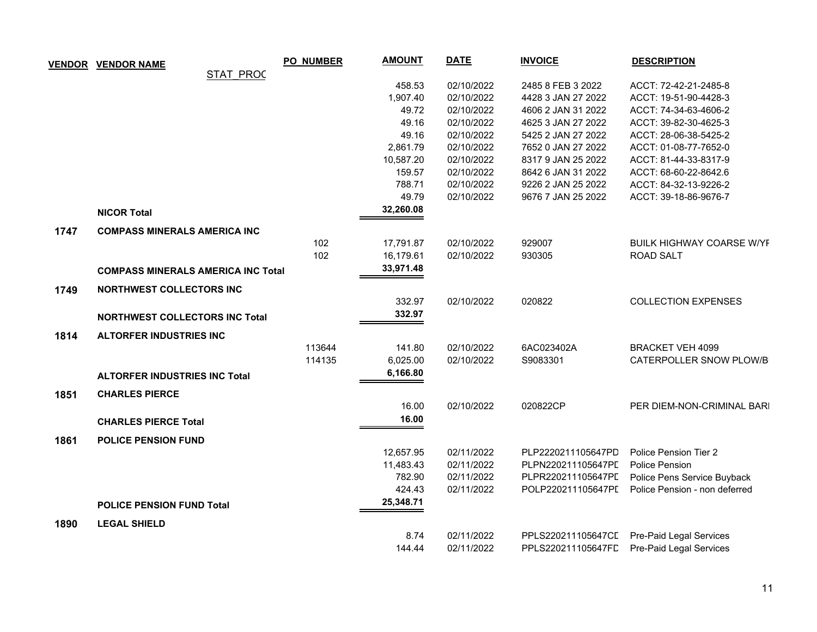|      | <b>VENDOR VENDOR NAME</b>                 | <b>PO_NUMBER</b> | <b>AMOUNT</b> | <b>DATE</b> | <b>INVOICE</b>     | <b>DESCRIPTION</b>                         |
|------|-------------------------------------------|------------------|---------------|-------------|--------------------|--------------------------------------------|
|      | <b>STAT PROC</b>                          |                  |               |             |                    |                                            |
|      |                                           |                  | 458.53        | 02/10/2022  | 2485 8 FEB 3 2022  | ACCT: 72-42-21-2485-8                      |
|      |                                           |                  | 1,907.40      | 02/10/2022  | 4428 3 JAN 27 2022 | ACCT: 19-51-90-4428-3                      |
|      |                                           |                  | 49.72         | 02/10/2022  | 4606 2 JAN 31 2022 | ACCT: 74-34-63-4606-2                      |
|      |                                           |                  | 49.16         | 02/10/2022  | 4625 3 JAN 27 2022 | ACCT: 39-82-30-4625-3                      |
|      |                                           |                  | 49.16         | 02/10/2022  | 5425 2 JAN 27 2022 | ACCT: 28-06-38-5425-2                      |
|      |                                           |                  | 2,861.79      | 02/10/2022  | 7652 0 JAN 27 2022 | ACCT: 01-08-77-7652-0                      |
|      |                                           |                  | 10,587.20     | 02/10/2022  | 8317 9 JAN 25 2022 | ACCT: 81-44-33-8317-9                      |
|      |                                           |                  | 159.57        | 02/10/2022  | 8642 6 JAN 31 2022 | ACCT: 68-60-22-8642.6                      |
|      |                                           |                  | 788.71        | 02/10/2022  | 9226 2 JAN 25 2022 | ACCT: 84-32-13-9226-2                      |
|      |                                           |                  | 49.79         | 02/10/2022  | 9676 7 JAN 25 2022 | ACCT: 39-18-86-9676-7                      |
|      | <b>NICOR Total</b>                        |                  | 32,260.08     |             |                    |                                            |
| 1747 | <b>COMPASS MINERALS AMERICA INC</b>       |                  |               |             |                    |                                            |
|      |                                           | 102              | 17,791.87     | 02/10/2022  | 929007             | <b>BUILK HIGHWAY COARSE W/YE</b>           |
|      |                                           | 102              | 16,179.61     | 02/10/2022  | 930305             | ROAD SALT                                  |
|      | <b>COMPASS MINERALS AMERICA INC Total</b> |                  | 33,971.48     |             |                    |                                            |
|      |                                           |                  |               |             |                    |                                            |
| 1749 | <b>NORTHWEST COLLECTORS INC</b>           |                  | 332.97        | 02/10/2022  | 020822             | <b>COLLECTION EXPENSES</b>                 |
|      |                                           |                  | 332.97        |             |                    |                                            |
|      | <b>NORTHWEST COLLECTORS INC Total</b>     |                  |               |             |                    |                                            |
| 1814 | <b>ALTORFER INDUSTRIES INC</b>            |                  |               |             |                    |                                            |
|      |                                           | 113644           | 141.80        | 02/10/2022  | 6AC023402A         | <b>BRACKET VEH 4099</b>                    |
|      |                                           | 114135           | 6,025.00      | 02/10/2022  | S9083301           | CATERPOLLER SNOW PLOW/B                    |
|      | <b>ALTORFER INDUSTRIES INC Total</b>      |                  | 6,166.80      |             |                    |                                            |
| 1851 | <b>CHARLES PIERCE</b>                     |                  |               |             |                    |                                            |
|      |                                           |                  | 16.00         | 02/10/2022  | 020822CP           | PER DIEM-NON-CRIMINAL BARI                 |
|      | <b>CHARLES PIERCE Total</b>               |                  | 16.00         |             |                    |                                            |
|      |                                           |                  |               |             |                    |                                            |
| 1861 | <b>POLICE PENSION FUND</b>                |                  |               |             |                    |                                            |
|      |                                           |                  | 12,657.95     | 02/11/2022  | PLP2220211105647PD | Police Pension Tier 2                      |
|      |                                           |                  | 11,483.43     | 02/11/2022  | PLPN220211105647PL | <b>Police Pension</b>                      |
|      |                                           |                  | 782.90        | 02/11/2022  | PLPR220211105647PL | Police Pens Service Buyback                |
|      |                                           |                  | 424.43        | 02/11/2022  | POLP220211105647PL | Police Pension - non deferred              |
|      | <b>POLICE PENSION FUND Total</b>          |                  | 25,348.71     |             |                    |                                            |
| 1890 | <b>LEGAL SHIELD</b>                       |                  |               |             |                    |                                            |
|      |                                           |                  | 8.74          | 02/11/2022  |                    | PPLS220211105647CL Pre-Paid Legal Services |
|      |                                           |                  | 144.44        | 02/11/2022  |                    | PPLS220211105647FL Pre-Paid Legal Services |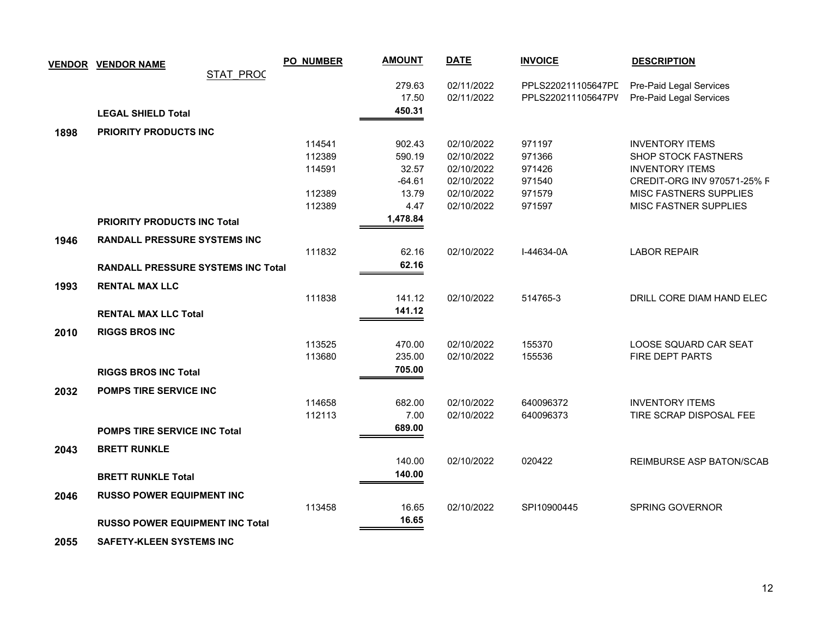|      | <b>VENDOR VENDOR NAME</b>                 | <b>PO_NUMBER</b> | <b>AMOUNT</b> | <b>DATE</b> | <b>INVOICE</b>     | <b>DESCRIPTION</b>            |
|------|-------------------------------------------|------------------|---------------|-------------|--------------------|-------------------------------|
|      | <b>STAT PROC</b>                          |                  |               |             |                    |                               |
|      |                                           |                  | 279.63        | 02/11/2022  | PPLS220211105647PL | Pre-Paid Legal Services       |
|      |                                           |                  | 17.50         | 02/11/2022  | PPLS220211105647PV | Pre-Paid Legal Services       |
|      | <b>LEGAL SHIELD Total</b>                 |                  | 450.31        |             |                    |                               |
| 1898 | <b>PRIORITY PRODUCTS INC</b>              |                  |               |             |                    |                               |
|      |                                           | 114541           | 902.43        | 02/10/2022  | 971197             | <b>INVENTORY ITEMS</b>        |
|      |                                           | 112389           | 590.19        | 02/10/2022  | 971366             | <b>SHOP STOCK FASTNERS</b>    |
|      |                                           | 114591           | 32.57         | 02/10/2022  | 971426             | <b>INVENTORY ITEMS</b>        |
|      |                                           |                  | $-64.61$      | 02/10/2022  | 971540             | CREDIT-ORG INV 970571-25% F   |
|      |                                           | 112389           | 13.79         | 02/10/2022  | 971579             | <b>MISC FASTNERS SUPPLIES</b> |
|      |                                           | 112389           | 4.47          | 02/10/2022  | 971597             | MISC FASTNER SUPPLIES         |
|      | <b>PRIORITY PRODUCTS INC Total</b>        |                  | 1,478.84      |             |                    |                               |
| 1946 | <b>RANDALL PRESSURE SYSTEMS INC</b>       |                  |               |             |                    |                               |
|      |                                           | 111832           | 62.16         | 02/10/2022  | I-44634-0A         | <b>LABOR REPAIR</b>           |
|      | <b>RANDALL PRESSURE SYSTEMS INC Total</b> |                  | 62.16         |             |                    |                               |
|      |                                           |                  |               |             |                    |                               |
| 1993 | <b>RENTAL MAX LLC</b>                     |                  |               |             |                    |                               |
|      |                                           | 111838           | 141.12        | 02/10/2022  | 514765-3           | DRILL CORE DIAM HAND ELEC     |
|      | <b>RENTAL MAX LLC Total</b>               |                  | 141.12        |             |                    |                               |
| 2010 | <b>RIGGS BROS INC</b>                     |                  |               |             |                    |                               |
|      |                                           | 113525           | 470.00        | 02/10/2022  | 155370             | LOOSE SQUARD CAR SEAT         |
|      |                                           | 113680           | 235.00        | 02/10/2022  | 155536             | FIRE DEPT PARTS               |
|      | <b>RIGGS BROS INC Total</b>               |                  | 705.00        |             |                    |                               |
|      |                                           |                  |               |             |                    |                               |
| 2032 | POMPS TIRE SERVICE INC                    | 114658           | 682.00        | 02/10/2022  | 640096372          | <b>INVENTORY ITEMS</b>        |
|      |                                           | 112113           | 7.00          | 02/10/2022  | 640096373          | TIRE SCRAP DISPOSAL FEE       |
|      |                                           |                  | 689.00        |             |                    |                               |
|      | POMPS TIRE SERVICE INC Total              |                  |               |             |                    |                               |
| 2043 | <b>BRETT RUNKLE</b>                       |                  |               |             |                    |                               |
|      |                                           |                  | 140.00        | 02/10/2022  | 020422             | REIMBURSE ASP BATON/SCAB      |
|      | <b>BRETT RUNKLE Total</b>                 |                  | 140.00        |             |                    |                               |
| 2046 | <b>RUSSO POWER EQUIPMENT INC</b>          |                  |               |             |                    |                               |
|      |                                           | 113458           | 16.65         | 02/10/2022  | SPI10900445        | SPRING GOVERNOR               |
|      | <b>RUSSO POWER EQUIPMENT INC Total</b>    |                  | 16.65         |             |                    |                               |
|      |                                           |                  |               |             |                    |                               |

 **2055 SAFETY-KLEEN SYSTEMS INC**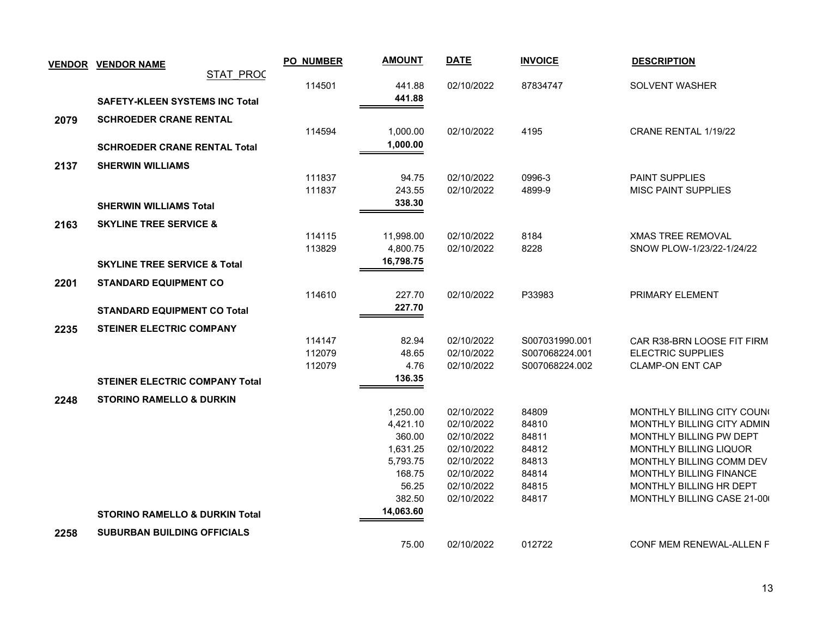| <b>VENDOR</b> | <b>VENDOR NAME</b>                        |           | PO_NUMBER | <b>AMOUNT</b>        | <b>DATE</b>              | <b>INVOICE</b> | <b>DESCRIPTION</b>                                 |
|---------------|-------------------------------------------|-----------|-----------|----------------------|--------------------------|----------------|----------------------------------------------------|
|               |                                           | STAT PROC |           |                      |                          |                |                                                    |
|               |                                           |           | 114501    | 441.88               | 02/10/2022               | 87834747       | SOLVENT WASHER                                     |
|               | <b>SAFETY-KLEEN SYSTEMS INC Total</b>     |           |           | 441.88               |                          |                |                                                    |
| 2079          | <b>SCHROEDER CRANE RENTAL</b>             |           |           |                      |                          |                |                                                    |
|               |                                           |           | 114594    | 1,000.00             | 02/10/2022               | 4195           | CRANE RENTAL 1/19/22                               |
|               | <b>SCHROEDER CRANE RENTAL Total</b>       |           |           | 1,000.00             |                          |                |                                                    |
| 2137          | <b>SHERWIN WILLIAMS</b>                   |           |           |                      |                          |                |                                                    |
|               |                                           |           | 111837    | 94.75                | 02/10/2022               | 0996-3         | <b>PAINT SUPPLIES</b>                              |
|               |                                           |           | 111837    | 243.55               | 02/10/2022               | 4899-9         | <b>MISC PAINT SUPPLIES</b>                         |
|               | <b>SHERWIN WILLIAMS Total</b>             |           |           | 338.30               |                          |                |                                                    |
|               | <b>SKYLINE TREE SERVICE &amp;</b>         |           |           |                      |                          |                |                                                    |
| 2163          |                                           |           | 114115    | 11,998.00            | 02/10/2022               | 8184           | <b>XMAS TREE REMOVAL</b>                           |
|               |                                           |           | 113829    | 4,800.75             | 02/10/2022               | 8228           | SNOW PLOW-1/23/22-1/24/22                          |
|               | <b>SKYLINE TREE SERVICE &amp; Total</b>   |           |           | 16,798.75            |                          |                |                                                    |
|               |                                           |           |           |                      |                          |                |                                                    |
| 2201          | <b>STANDARD EQUIPMENT CO</b>              |           |           |                      |                          |                |                                                    |
|               |                                           |           | 114610    | 227.70<br>227.70     | 02/10/2022               | P33983         | PRIMARY ELEMENT                                    |
|               | <b>STANDARD EQUIPMENT CO Total</b>        |           |           |                      |                          |                |                                                    |
| 2235          | STEINER ELECTRIC COMPANY                  |           |           |                      |                          |                |                                                    |
|               |                                           |           | 114147    | 82.94                | 02/10/2022               | S007031990.001 | CAR R38-BRN LOOSE FIT FIRM                         |
|               |                                           |           | 112079    | 48.65                | 02/10/2022               | S007068224.001 | <b>ELECTRIC SUPPLIES</b>                           |
|               |                                           |           | 112079    | 4.76                 | 02/10/2022               | S007068224.002 | <b>CLAMP-ON ENT CAP</b>                            |
|               | <b>STEINER ELECTRIC COMPANY Total</b>     |           |           | 136.35               |                          |                |                                                    |
| 2248          | <b>STORINO RAMELLO &amp; DURKIN</b>       |           |           |                      |                          |                |                                                    |
|               |                                           |           |           | 1,250.00             | 02/10/2022               | 84809          | MONTHLY BILLING CITY COUN(                         |
|               |                                           |           |           | 4,421.10             | 02/10/2022               | 84810          | MONTHLY BILLING CITY ADMIN                         |
|               |                                           |           |           | 360.00               | 02/10/2022               | 84811          | MONTHLY BILLING PW DEPT                            |
|               |                                           |           |           | 1,631.25<br>5,793.75 | 02/10/2022<br>02/10/2022 | 84812<br>84813 | MONTHLY BILLING LIQUOR<br>MONTHLY BILLING COMM DEV |
|               |                                           |           |           | 168.75               | 02/10/2022               | 84814          | <b>MONTHLY BILLING FINANCE</b>                     |
|               |                                           |           |           | 56.25                | 02/10/2022               | 84815          | MONTHLY BILLING HR DEPT                            |
|               |                                           |           |           | 382.50               | 02/10/2022               | 84817          | MONTHLY BILLING CASE 21-00                         |
|               | <b>STORINO RAMELLO &amp; DURKIN Total</b> |           |           | 14,063.60            |                          |                |                                                    |
|               |                                           |           |           |                      |                          |                |                                                    |
| 2258          | <b>SUBURBAN BUILDING OFFICIALS</b>        |           |           | 75.00                | 02/10/2022               | 012722         | <b>CONF MEM RENEWAL-ALLEN F</b>                    |
|               |                                           |           |           |                      |                          |                |                                                    |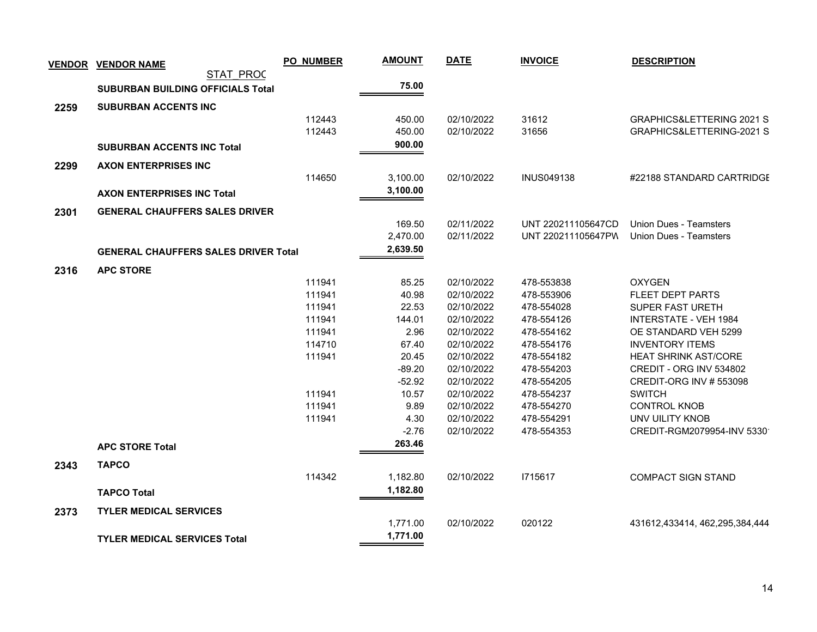|      | <b>VENDOR VENDOR NAME</b>                   | <b>PO_NUMBER</b> | <b>AMOUNT</b>     | <b>DATE</b>              | <b>INVOICE</b>           | <b>DESCRIPTION</b>                              |
|------|---------------------------------------------|------------------|-------------------|--------------------------|--------------------------|-------------------------------------------------|
|      | STAT PROC                                   |                  |                   |                          |                          |                                                 |
|      | <b>SUBURBAN BUILDING OFFICIALS Total</b>    |                  | 75.00             |                          |                          |                                                 |
| 2259 | <b>SUBURBAN ACCENTS INC</b>                 |                  |                   |                          |                          |                                                 |
|      |                                             | 112443           | 450.00            | 02/10/2022               | 31612                    | <b>GRAPHICS&amp;LETTERING 2021 S</b>            |
|      |                                             | 112443           | 450.00            | 02/10/2022               | 31656                    | GRAPHICS&LETTERING-2021 S                       |
|      | <b>SUBURBAN ACCENTS INC Total</b>           |                  | 900.00            |                          |                          |                                                 |
| 2299 | <b>AXON ENTERPRISES INC</b>                 |                  |                   |                          |                          |                                                 |
|      |                                             | 114650           | 3,100.00          | 02/10/2022               | <b>INUS049138</b>        | #22188 STANDARD CARTRIDGE                       |
|      | <b>AXON ENTERPRISES INC Total</b>           |                  | 3,100.00          |                          |                          |                                                 |
|      |                                             |                  |                   |                          |                          |                                                 |
| 2301 | <b>GENERAL CHAUFFERS SALES DRIVER</b>       |                  |                   |                          |                          |                                                 |
|      |                                             |                  | 169.50            | 02/11/2022               | UNT 220211105647CD       | Union Dues - Teamsters                          |
|      |                                             |                  | 2,470.00          | 02/11/2022               | UNT 220211105647PW       | Union Dues - Teamsters                          |
|      | <b>GENERAL CHAUFFERS SALES DRIVER Total</b> |                  | 2,639.50          |                          |                          |                                                 |
| 2316 | <b>APC STORE</b>                            |                  |                   |                          |                          |                                                 |
|      |                                             | 111941           | 85.25             | 02/10/2022               | 478-553838               | <b>OXYGEN</b>                                   |
|      |                                             | 111941           | 40.98             | 02/10/2022               | 478-553906               | <b>FLEET DEPT PARTS</b>                         |
|      |                                             | 111941           | 22.53             | 02/10/2022               | 478-554028               | <b>SUPER FAST URETH</b>                         |
|      |                                             | 111941           | 144.01            | 02/10/2022               | 478-554126               | INTERSTATE - VEH 1984                           |
|      |                                             | 111941           | 2.96              | 02/10/2022               | 478-554162               | OE STANDARD VEH 5299                            |
|      |                                             | 114710           | 67.40             | 02/10/2022               | 478-554176               | <b>INVENTORY ITEMS</b>                          |
|      |                                             | 111941           | 20.45             | 02/10/2022               | 478-554182               | <b>HEAT SHRINK AST/CORE</b>                     |
|      |                                             |                  | $-89.20$          | 02/10/2022               | 478-554203               | CREDIT - ORG INV 534802                         |
|      |                                             | 111941           | $-52.92$<br>10.57 | 02/10/2022<br>02/10/2022 | 478-554205               | <b>CREDIT-ORG INV # 553098</b><br><b>SWITCH</b> |
|      |                                             | 111941           | 9.89              | 02/10/2022               | 478-554237<br>478-554270 | <b>CONTROL KNOB</b>                             |
|      |                                             | 111941           | 4.30              | 02/10/2022               | 478-554291               | UNV UILITY KNOB                                 |
|      |                                             |                  | $-2.76$           | 02/10/2022               | 478-554353               | CREDIT-RGM2079954-INV 5330                      |
|      | <b>APC STORE Total</b>                      |                  | 263.46            |                          |                          |                                                 |
|      |                                             |                  |                   |                          |                          |                                                 |
| 2343 | <b>TAPCO</b>                                |                  |                   |                          |                          |                                                 |
|      |                                             | 114342           | 1,182.80          | 02/10/2022               | 1715617                  | <b>COMPACT SIGN STAND</b>                       |
|      | <b>TAPCO Total</b>                          |                  | 1,182.80          |                          |                          |                                                 |
| 2373 | <b>TYLER MEDICAL SERVICES</b>               |                  |                   |                          |                          |                                                 |
|      |                                             |                  | 1,771.00          | 02/10/2022               | 020122                   | 431612,433414, 462,295,384,444                  |
|      | <b>TYLER MEDICAL SERVICES Total</b>         |                  | 1,771.00          |                          |                          |                                                 |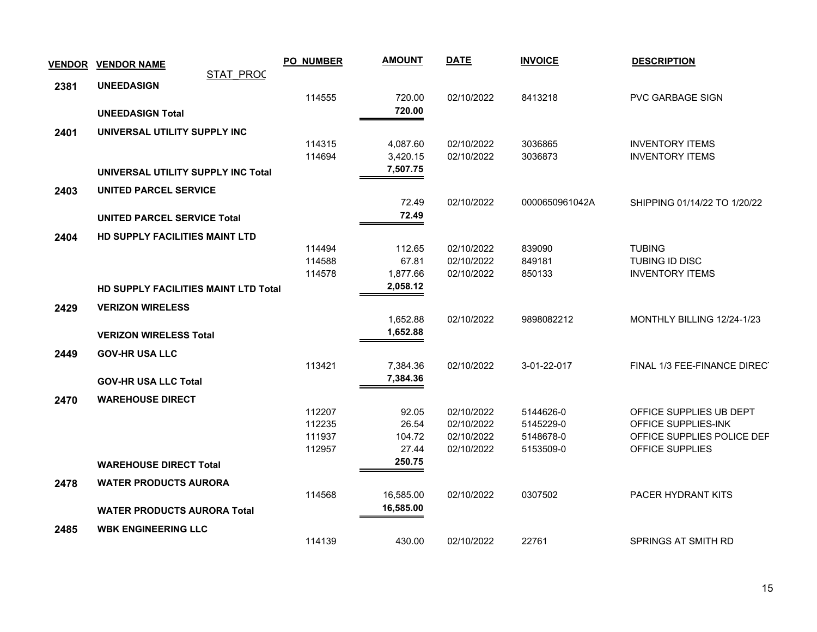| <b>VENDOR</b> | <b>VENDOR NAME</b>                    |                  | <b>PO NUMBER</b> | <b>AMOUNT</b> | <b>DATE</b> | <b>INVOICE</b> | <b>DESCRIPTION</b>           |
|---------------|---------------------------------------|------------------|------------------|---------------|-------------|----------------|------------------------------|
|               | <b>UNEEDASIGN</b>                     | <b>STAT PROC</b> |                  |               |             |                |                              |
| 2381          |                                       |                  | 114555           | 720.00        | 02/10/2022  | 8413218        | <b>PVC GARBAGE SIGN</b>      |
|               | <b>UNEEDASIGN Total</b>               |                  |                  | 720.00        |             |                |                              |
|               | UNIVERSAL UTILITY SUPPLY INC          |                  |                  |               |             |                |                              |
| 2401          |                                       |                  | 114315           | 4,087.60      | 02/10/2022  | 3036865        | <b>INVENTORY ITEMS</b>       |
|               |                                       |                  | 114694           | 3,420.15      | 02/10/2022  | 3036873        | <b>INVENTORY ITEMS</b>       |
|               | UNIVERSAL UTILITY SUPPLY INC Total    |                  |                  | 7,507.75      |             |                |                              |
| 2403          | <b>UNITED PARCEL SERVICE</b>          |                  |                  |               |             |                |                              |
|               |                                       |                  |                  | 72.49         | 02/10/2022  | 0000650961042A | SHIPPING 01/14/22 TO 1/20/22 |
|               | <b>UNITED PARCEL SERVICE Total</b>    |                  |                  | 72.49         |             |                |                              |
| 2404          | <b>HD SUPPLY FACILITIES MAINT LTD</b> |                  |                  |               |             |                |                              |
|               |                                       |                  | 114494           | 112.65        | 02/10/2022  | 839090         | <b>TUBING</b>                |
|               |                                       |                  | 114588           | 67.81         | 02/10/2022  | 849181         | TUBING ID DISC               |
|               |                                       |                  | 114578           | 1,877.66      | 02/10/2022  | 850133         | <b>INVENTORY ITEMS</b>       |
|               | HD SUPPLY FACILITIES MAINT LTD Total  |                  |                  | 2,058.12      |             |                |                              |
| 2429          | <b>VERIZON WIRELESS</b>               |                  |                  |               |             |                |                              |
|               |                                       |                  |                  | 1,652.88      | 02/10/2022  | 9898082212     | MONTHLY BILLING 12/24-1/23   |
|               | <b>VERIZON WIRELESS Total</b>         |                  |                  | 1,652.88      |             |                |                              |
| 2449          | <b>GOV-HR USA LLC</b>                 |                  |                  |               |             |                |                              |
|               |                                       |                  | 113421           | 7,384.36      | 02/10/2022  | 3-01-22-017    | FINAL 1/3 FEE-FINANCE DIRECT |
|               | <b>GOV-HR USA LLC Total</b>           |                  |                  | 7,384.36      |             |                |                              |
| 2470          | <b>WAREHOUSE DIRECT</b>               |                  |                  |               |             |                |                              |
|               |                                       |                  | 112207           | 92.05         | 02/10/2022  | 5144626-0      | OFFICE SUPPLIES UB DEPT      |
|               |                                       |                  | 112235           | 26.54         | 02/10/2022  | 5145229-0      | OFFICE SUPPLIES-INK          |
|               |                                       |                  | 111937           | 104.72        | 02/10/2022  | 5148678-0      | OFFICE SUPPLIES POLICE DEP   |
|               |                                       |                  | 112957           | 27.44         | 02/10/2022  | 5153509-0      | OFFICE SUPPLIES              |
|               | <b>WAREHOUSE DIRECT Total</b>         |                  |                  | 250.75        |             |                |                              |
| 2478          | <b>WATER PRODUCTS AURORA</b>          |                  |                  |               |             |                |                              |
|               |                                       |                  | 114568           | 16,585.00     | 02/10/2022  | 0307502        | PACER HYDRANT KITS           |
|               | <b>WATER PRODUCTS AURORA Total</b>    |                  |                  | 16,585.00     |             |                |                              |
| 2485          | <b>WBK ENGINEERING LLC</b>            |                  |                  |               |             |                |                              |
|               |                                       |                  | 114139           | 430.00        | 02/10/2022  | 22761          | SPRINGS AT SMITH RD          |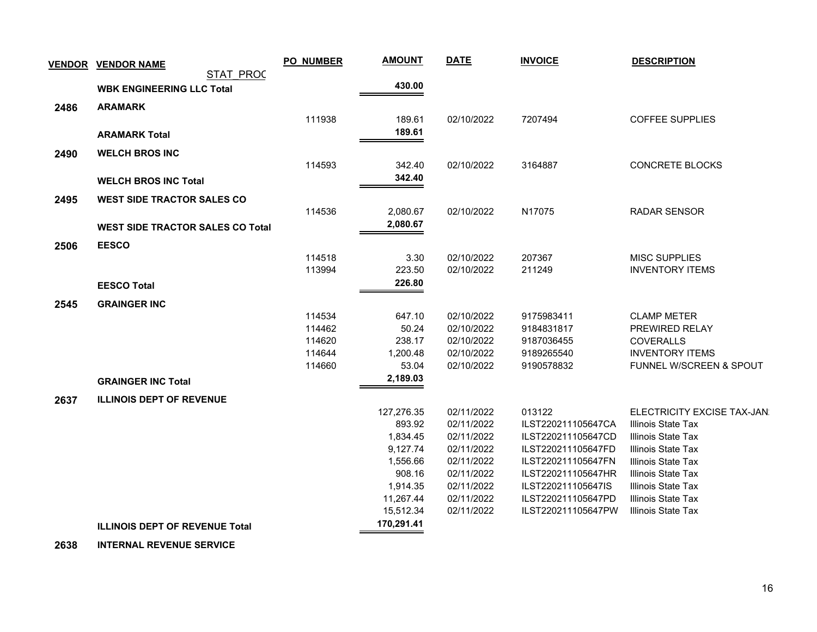| <b>VENDOR</b> | <b>VENDOR NAME</b>                      | <b>PO_NUMBER</b> | <b>AMOUNT</b>      | <b>DATE</b>              | <b>INVOICE</b>                           | <b>DESCRIPTION</b>                              |
|---------------|-----------------------------------------|------------------|--------------------|--------------------------|------------------------------------------|-------------------------------------------------|
|               | STAT PROC                               |                  |                    |                          |                                          |                                                 |
|               | <b>WBK ENGINEERING LLC Total</b>        |                  | 430.00             |                          |                                          |                                                 |
| 2486          | <b>ARAMARK</b>                          |                  |                    |                          |                                          |                                                 |
|               |                                         | 111938           | 189.61             | 02/10/2022               | 7207494                                  | <b>COFFEE SUPPLIES</b>                          |
|               | <b>ARAMARK Total</b>                    |                  | 189.61             |                          |                                          |                                                 |
|               |                                         |                  |                    |                          |                                          |                                                 |
| 2490          | <b>WELCH BROS INC</b>                   | 114593           | 342.40             | 02/10/2022               | 3164887                                  | <b>CONCRETE BLOCKS</b>                          |
|               |                                         |                  | 342.40             |                          |                                          |                                                 |
|               | <b>WELCH BROS INC Total</b>             |                  |                    |                          |                                          |                                                 |
| 2495          | <b>WEST SIDE TRACTOR SALES CO</b>       |                  |                    |                          |                                          |                                                 |
|               |                                         | 114536           | 2,080.67           | 02/10/2022               | N17075                                   | <b>RADAR SENSOR</b>                             |
|               | <b>WEST SIDE TRACTOR SALES CO Total</b> |                  | 2,080.67           |                          |                                          |                                                 |
| 2506          | <b>EESCO</b>                            |                  |                    |                          |                                          |                                                 |
|               |                                         | 114518           | 3.30               | 02/10/2022               | 207367                                   | <b>MISC SUPPLIES</b>                            |
|               |                                         | 113994           | 223.50             | 02/10/2022               | 211249                                   | <b>INVENTORY ITEMS</b>                          |
|               | <b>EESCO Total</b>                      |                  | 226.80             |                          |                                          |                                                 |
| 2545          | <b>GRAINGER INC</b>                     |                  |                    |                          |                                          |                                                 |
|               |                                         | 114534           | 647.10             | 02/10/2022               | 9175983411                               | <b>CLAMP METER</b>                              |
|               |                                         | 114462           | 50.24              | 02/10/2022               | 9184831817                               | PREWIRED RELAY                                  |
|               |                                         | 114620           | 238.17             | 02/10/2022               | 9187036455                               | <b>COVERALLS</b>                                |
|               |                                         | 114644           | 1,200.48           | 02/10/2022               | 9189265540                               | <b>INVENTORY ITEMS</b>                          |
|               |                                         | 114660           | 53.04              | 02/10/2022               | 9190578832                               | FUNNEL W/SCREEN & SPOUT                         |
|               | <b>GRAINGER INC Total</b>               |                  | 2,189.03           |                          |                                          |                                                 |
| 2637          | <b>ILLINOIS DEPT OF REVENUE</b>         |                  |                    |                          |                                          |                                                 |
|               |                                         |                  | 127,276.35         | 02/11/2022               | 013122                                   | ELECTRICITY EXCISE TAX-JAN                      |
|               |                                         |                  | 893.92             | 02/11/2022               | ILST220211105647CA                       | Illinois State Tax                              |
|               |                                         |                  | 1,834.45           | 02/11/2022               | ILST220211105647CD                       | Illinois State Tax                              |
|               |                                         |                  | 9,127.74           | 02/11/2022               | ILST220211105647FD                       | Illinois State Tax                              |
|               |                                         |                  | 1,556.66           | 02/11/2022               | ILST220211105647FN                       | <b>Illinois State Tax</b>                       |
|               |                                         |                  | 908.16<br>1,914.35 | 02/11/2022<br>02/11/2022 | ILST220211105647HR<br>ILST220211105647IS | Illinois State Tax<br><b>Illinois State Tax</b> |
|               |                                         |                  | 11,267.44          | 02/11/2022               | ILST220211105647PD                       | <b>Illinois State Tax</b>                       |
|               |                                         |                  | 15,512.34          | 02/11/2022               | ILST220211105647PW                       | <b>Illinois State Tax</b>                       |
|               | <b>ILLINOIS DEPT OF REVENUE Total</b>   |                  | 170,291.41         |                          |                                          |                                                 |
|               |                                         |                  |                    |                          |                                          |                                                 |

 **2638 INTERNAL REVENUE SERVICE**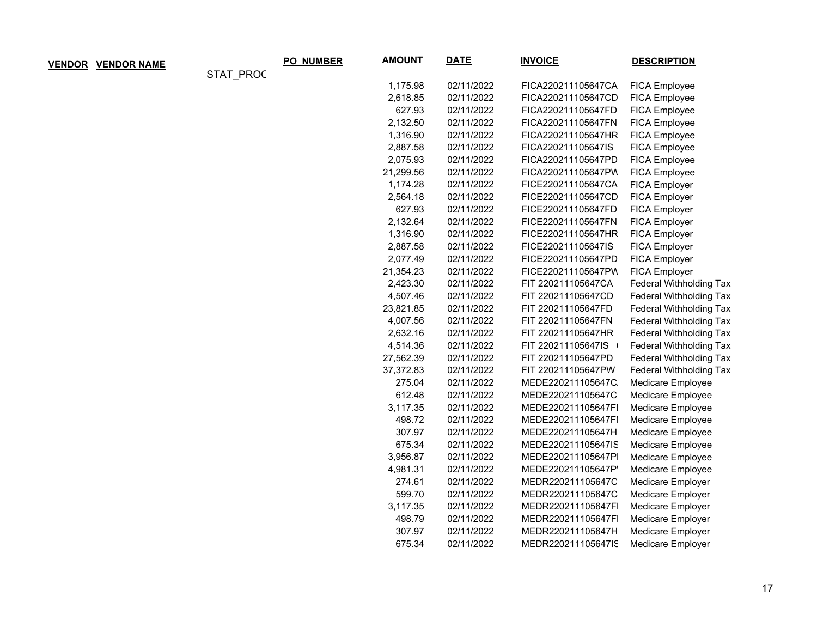| <b>VENDOR</b> | <b>VENDOR NAME</b> |                  | PO_NUMBER | <b>AMOUNT</b> | <b>DATE</b> | <b>INVOICE</b>     | <b>DESCRIPTION</b>             |
|---------------|--------------------|------------------|-----------|---------------|-------------|--------------------|--------------------------------|
|               |                    | <b>STAT PROC</b> |           |               |             |                    |                                |
|               |                    |                  |           | 1,175.98      | 02/11/2022  | FICA220211105647CA | FICA Employee                  |
|               |                    |                  |           | 2,618.85      | 02/11/2022  | FICA220211105647CD | FICA Employee                  |
|               |                    |                  |           | 627.93        | 02/11/2022  | FICA220211105647FD | FICA Employee                  |
|               |                    |                  |           | 2,132.50      | 02/11/2022  | FICA220211105647FN | FICA Employee                  |
|               |                    |                  |           | 1,316.90      | 02/11/2022  | FICA220211105647HR | FICA Employee                  |
|               |                    |                  |           | 2,887.58      | 02/11/2022  | FICA220211105647IS | FICA Employee                  |
|               |                    |                  |           | 2,075.93      | 02/11/2022  | FICA220211105647PD | FICA Employee                  |
|               |                    |                  |           | 21,299.56     | 02/11/2022  | FICA220211105647PW | FICA Employee                  |
|               |                    |                  |           | 1,174.28      | 02/11/2022  | FICE220211105647CA | FICA Employer                  |
|               |                    |                  |           | 2,564.18      | 02/11/2022  | FICE220211105647CD | FICA Employer                  |
|               |                    |                  |           | 627.93        | 02/11/2022  | FICE220211105647FD | FICA Employer                  |
|               |                    |                  |           | 2,132.64      | 02/11/2022  | FICE220211105647FN | FICA Employer                  |
|               |                    |                  |           | 1,316.90      | 02/11/2022  | FICE220211105647HR | FICA Employer                  |
|               |                    |                  |           | 2,887.58      | 02/11/2022  | FICE220211105647IS | FICA Employer                  |
|               |                    |                  |           | 2,077.49      | 02/11/2022  | FICE220211105647PD | FICA Employer                  |
|               |                    |                  |           | 21,354.23     | 02/11/2022  | FICE220211105647PW | FICA Employer                  |
|               |                    |                  |           | 2,423.30      | 02/11/2022  | FIT 220211105647CA | <b>Federal Withholding Tax</b> |
|               |                    |                  |           | 4,507.46      | 02/11/2022  | FIT 220211105647CD | Federal Withholding Tax        |
|               |                    |                  |           | 23,821.85     | 02/11/2022  | FIT 220211105647FD | <b>Federal Withholding Tax</b> |
|               |                    |                  |           | 4,007.56      | 02/11/2022  | FIT 220211105647FN | Federal Withholding Tax        |
|               |                    |                  |           | 2,632.16      | 02/11/2022  | FIT 220211105647HR | <b>Federal Withholding Tax</b> |
|               |                    |                  |           | 4,514.36      | 02/11/2022  | FIT 220211105647IS | Federal Withholding Tax        |
|               |                    |                  |           | 27,562.39     | 02/11/2022  | FIT 220211105647PD | <b>Federal Withholding Tax</b> |
|               |                    |                  |           | 37,372.83     | 02/11/2022  | FIT 220211105647PW | <b>Federal Withholding Tax</b> |
|               |                    |                  |           | 275.04        | 02/11/2022  | MEDE220211105647C. | Medicare Employee              |
|               |                    |                  |           | 612.48        | 02/11/2022  | MEDE220211105647C  | Medicare Employee              |
|               |                    |                  |           | 3,117.35      | 02/11/2022  | MEDE220211105647FI | Medicare Employee              |
|               |                    |                  |           | 498.72        | 02/11/2022  | MEDE220211105647FI | Medicare Employee              |
|               |                    |                  |           | 307.97        | 02/11/2022  | MEDE220211105647H  | Medicare Employee              |
|               |                    |                  |           | 675.34        | 02/11/2022  | MEDE220211105647IS | Medicare Employee              |
|               |                    |                  |           | 3,956.87      | 02/11/2022  | MEDE220211105647PI | Medicare Employee              |
|               |                    |                  |           | 4,981.31      | 02/11/2022  | MEDE220211105647P  | Medicare Employee              |
|               |                    |                  |           | 274.61        | 02/11/2022  | MEDR220211105647C  | Medicare Employer              |
|               |                    |                  |           | 599.70        | 02/11/2022  | MEDR220211105647C  | Medicare Employer              |
|               |                    |                  |           | 3,117.35      | 02/11/2022  | MEDR220211105647FI | Medicare Employer              |
|               |                    |                  |           | 498.79        | 02/11/2022  | MEDR220211105647FI | Medicare Employer              |
|               |                    |                  |           | 307.97        | 02/11/2022  | MEDR220211105647H  | Medicare Employer              |
|               |                    |                  |           | 675.34        | 02/11/2022  | MEDR220211105647IS | Medicare Employer              |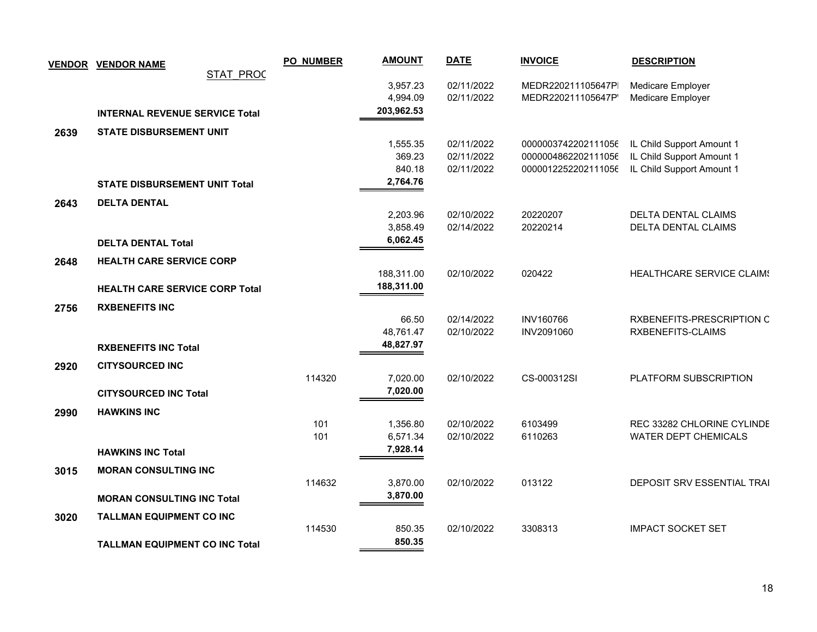|      | <b>VENDOR VENDOR NAME</b>             | <b>PO_NUMBER</b> | <b>AMOUNT</b>      | <b>DATE</b>              | <b>INVOICE</b>                 | <b>DESCRIPTION</b>                             |
|------|---------------------------------------|------------------|--------------------|--------------------------|--------------------------------|------------------------------------------------|
|      | STAT PROC                             |                  |                    |                          |                                |                                                |
|      |                                       |                  | 3,957.23           | 02/11/2022               | MEDR220211105647P              | Medicare Employer                              |
|      |                                       |                  | 4,994.09           | 02/11/2022               | MEDR220211105647P              | Medicare Employer                              |
|      | <b>INTERNAL REVENUE SERVICE Total</b> |                  | 203,962.53         |                          |                                |                                                |
| 2639 | <b>STATE DISBURSEMENT UNIT</b>        |                  |                    |                          |                                |                                                |
|      |                                       |                  | 1,555.35           | 02/11/2022               | 0000003742202111056            | IL Child Support Amount 1                      |
|      |                                       |                  | 369.23             | 02/11/2022               | 0000004862202111056            | IL Child Support Amount 1                      |
|      |                                       |                  | 840.18             | 02/11/2022               | 0000012252202111056            | IL Child Support Amount 1                      |
|      | <b>STATE DISBURSEMENT UNIT Total</b>  |                  | 2,764.76           |                          |                                |                                                |
| 2643 | <b>DELTA DENTAL</b>                   |                  |                    |                          |                                |                                                |
|      |                                       |                  | 2,203.96           | 02/10/2022               | 20220207                       | DELTA DENTAL CLAIMS                            |
|      |                                       |                  | 3,858.49           | 02/14/2022               | 20220214                       | DELTA DENTAL CLAIMS                            |
|      | <b>DELTA DENTAL Total</b>             |                  | 6,062.45           |                          |                                |                                                |
| 2648 | <b>HEALTH CARE SERVICE CORP</b>       |                  |                    |                          |                                |                                                |
|      |                                       |                  | 188,311.00         | 02/10/2022               | 020422                         | HEALTHCARE SERVICE CLAIMS                      |
|      | <b>HEALTH CARE SERVICE CORP Total</b> |                  | 188,311.00         |                          |                                |                                                |
|      |                                       |                  |                    |                          |                                |                                                |
| 2756 | <b>RXBENEFITS INC</b>                 |                  |                    |                          |                                |                                                |
|      |                                       |                  | 66.50<br>48,761.47 | 02/14/2022<br>02/10/2022 | <b>INV160766</b><br>INV2091060 | RXBENEFITS-PRESCRIPTION C<br>RXBENEFITS-CLAIMS |
|      |                                       |                  | 48,827.97          |                          |                                |                                                |
|      | <b>RXBENEFITS INC Total</b>           |                  |                    |                          |                                |                                                |
| 2920 | <b>CITYSOURCED INC</b>                |                  |                    |                          |                                |                                                |
|      |                                       | 114320           | 7,020.00           | 02/10/2022               | CS-000312SI                    | PLATFORM SUBSCRIPTION                          |
|      | <b>CITYSOURCED INC Total</b>          |                  | 7,020.00           |                          |                                |                                                |
| 2990 | <b>HAWKINS INC</b>                    |                  |                    |                          |                                |                                                |
|      |                                       | 101              | 1,356.80           | 02/10/2022               | 6103499                        | REC 33282 CHLORINE CYLINDE                     |
|      |                                       | 101              | 6,571.34           | 02/10/2022               | 6110263                        | <b>WATER DEPT CHEMICALS</b>                    |
|      | <b>HAWKINS INC Total</b>              |                  | 7,928.14           |                          |                                |                                                |
| 3015 | <b>MORAN CONSULTING INC</b>           |                  |                    |                          |                                |                                                |
|      |                                       | 114632           | 3,870.00           | 02/10/2022               | 013122                         | DEPOSIT SRV ESSENTIAL TRAI                     |
|      | <b>MORAN CONSULTING INC Total</b>     |                  | 3,870.00           |                          |                                |                                                |
|      |                                       |                  |                    |                          |                                |                                                |
| 3020 | TALLMAN EQUIPMENT CO INC              | 114530           | 850.35             | 02/10/2022               | 3308313                        | <b>IMPACT SOCKET SET</b>                       |
|      |                                       |                  | 850.35             |                          |                                |                                                |
|      | <b>TALLMAN EQUIPMENT CO INC Total</b> |                  |                    |                          |                                |                                                |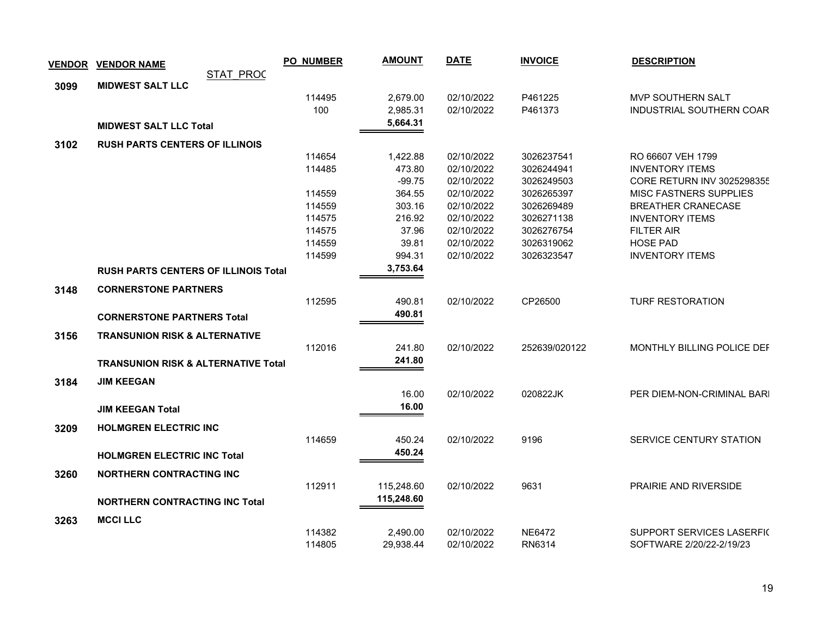| <b>VENDOR</b> | <b>VENDOR NAME</b>                             |                  | <b>PO_NUMBER</b> | <b>AMOUNT</b> | <b>DATE</b> | <b>INVOICE</b> | <b>DESCRIPTION</b>            |
|---------------|------------------------------------------------|------------------|------------------|---------------|-------------|----------------|-------------------------------|
|               |                                                | <b>STAT PROC</b> |                  |               |             |                |                               |
| 3099          | <b>MIDWEST SALT LLC</b>                        |                  |                  |               |             |                |                               |
|               |                                                |                  | 114495           | 2,679.00      | 02/10/2022  | P461225        | MVP SOUTHERN SALT             |
|               |                                                |                  | 100              | 2,985.31      | 02/10/2022  | P461373        | INDUSTRIAL SOUTHERN COAR      |
|               | <b>MIDWEST SALT LLC Total</b>                  |                  |                  | 5,664.31      |             |                |                               |
| 3102          | <b>RUSH PARTS CENTERS OF ILLINOIS</b>          |                  |                  |               |             |                |                               |
|               |                                                |                  | 114654           | 1,422.88      | 02/10/2022  | 3026237541     | RO 66607 VEH 1799             |
|               |                                                |                  | 114485           | 473.80        | 02/10/2022  | 3026244941     | <b>INVENTORY ITEMS</b>        |
|               |                                                |                  |                  | $-99.75$      | 02/10/2022  | 3026249503     | CORE RETURN INV 3025298355    |
|               |                                                |                  | 114559           | 364.55        | 02/10/2022  | 3026265397     | <b>MISC FASTNERS SUPPLIES</b> |
|               |                                                |                  | 114559           | 303.16        | 02/10/2022  | 3026269489     | <b>BREATHER CRANECASE</b>     |
|               |                                                |                  | 114575           | 216.92        | 02/10/2022  | 3026271138     | <b>INVENTORY ITEMS</b>        |
|               |                                                |                  | 114575           | 37.96         | 02/10/2022  | 3026276754     | <b>FILTER AIR</b>             |
|               |                                                |                  | 114559           | 39.81         | 02/10/2022  | 3026319062     | <b>HOSE PAD</b>               |
|               |                                                |                  | 114599           | 994.31        | 02/10/2022  | 3026323547     | <b>INVENTORY ITEMS</b>        |
|               | <b>RUSH PARTS CENTERS OF ILLINOIS Total</b>    |                  |                  | 3,753.64      |             |                |                               |
| 3148          | <b>CORNERSTONE PARTNERS</b>                    |                  |                  |               |             |                |                               |
|               |                                                |                  | 112595           | 490.81        | 02/10/2022  | CP26500        | <b>TURF RESTORATION</b>       |
|               | <b>CORNERSTONE PARTNERS Total</b>              |                  |                  | 490.81        |             |                |                               |
|               |                                                |                  |                  |               |             |                |                               |
| 3156          | <b>TRANSUNION RISK &amp; ALTERNATIVE</b>       |                  | 112016           | 241.80        | 02/10/2022  | 252639/020122  | MONTHLY BILLING POLICE DEF    |
|               |                                                |                  |                  | 241.80        |             |                |                               |
|               | <b>TRANSUNION RISK &amp; ALTERNATIVE Total</b> |                  |                  |               |             |                |                               |
| 3184          | <b>JIM KEEGAN</b>                              |                  |                  |               |             |                |                               |
|               |                                                |                  |                  | 16.00         | 02/10/2022  | 020822JK       | PER DIEM-NON-CRIMINAL BARI    |
|               | <b>JIM KEEGAN Total</b>                        |                  |                  | 16.00         |             |                |                               |
| 3209          | <b>HOLMGREN ELECTRIC INC</b>                   |                  |                  |               |             |                |                               |
|               |                                                |                  | 114659           | 450.24        | 02/10/2022  | 9196           | SERVICE CENTURY STATION       |
|               |                                                |                  |                  | 450.24        |             |                |                               |
|               | <b>HOLMGREN ELECTRIC INC Total</b>             |                  |                  |               |             |                |                               |
| 3260          | <b>NORTHERN CONTRACTING INC</b>                |                  |                  |               |             |                |                               |
|               |                                                |                  | 112911           | 115,248.60    | 02/10/2022  | 9631           | <b>PRAIRIE AND RIVERSIDE</b>  |
|               | <b>NORTHERN CONTRACTING INC Total</b>          |                  |                  | 115,248.60    |             |                |                               |
| 3263          | <b>MCCI LLC</b>                                |                  |                  |               |             |                |                               |
|               |                                                |                  | 114382           | 2,490.00      | 02/10/2022  | <b>NE6472</b>  | SUPPORT SERVICES LASERFIC     |
|               |                                                |                  | 114805           | 29,938.44     | 02/10/2022  | RN6314         | SOFTWARE 2/20/22-2/19/23      |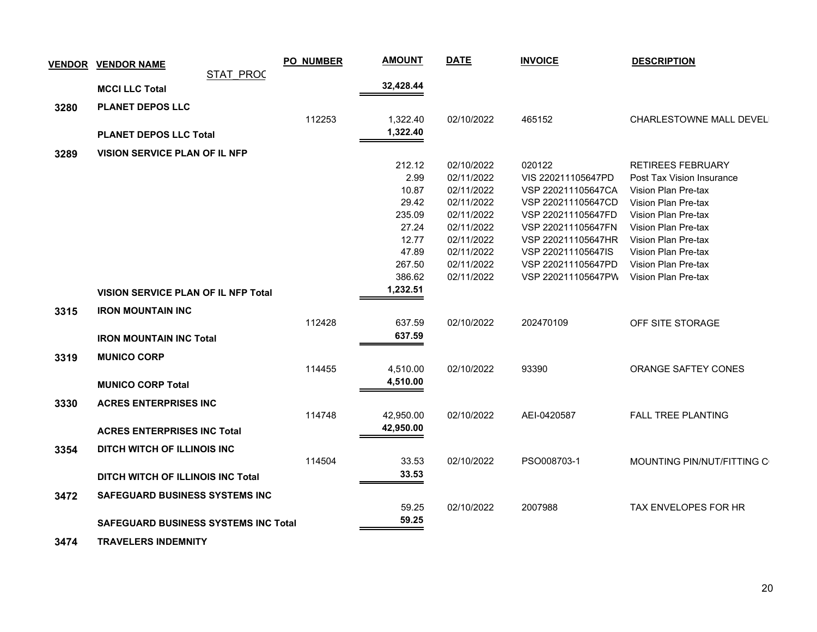|      | <b>VENDOR VENDOR NAME</b>                   | <b>PO_NUMBER</b> | <b>AMOUNT</b> | <b>DATE</b> | <b>INVOICE</b>     | <b>DESCRIPTION</b>         |
|------|---------------------------------------------|------------------|---------------|-------------|--------------------|----------------------------|
|      | <b>STAT PROC</b>                            |                  |               |             |                    |                            |
|      | <b>MCCI LLC Total</b>                       |                  | 32,428.44     |             |                    |                            |
| 3280 | <b>PLANET DEPOS LLC</b>                     |                  |               |             |                    |                            |
|      |                                             | 112253           | 1,322.40      | 02/10/2022  | 465152             | CHARLESTOWNE MALL DEVEL    |
|      | <b>PLANET DEPOS LLC Total</b>               |                  | 1,322.40      |             |                    |                            |
|      |                                             |                  |               |             |                    |                            |
| 3289 | <b>VISION SERVICE PLAN OF IL NFP</b>        |                  | 212.12        | 02/10/2022  | 020122             | <b>RETIREES FEBRUARY</b>   |
|      |                                             |                  | 2.99          | 02/11/2022  | VIS 220211105647PD | Post Tax Vision Insurance  |
|      |                                             |                  | 10.87         | 02/11/2022  | VSP 220211105647CA | Vision Plan Pre-tax        |
|      |                                             |                  | 29.42         | 02/11/2022  | VSP 220211105647CD | Vision Plan Pre-tax        |
|      |                                             |                  | 235.09        | 02/11/2022  | VSP 220211105647FD | Vision Plan Pre-tax        |
|      |                                             |                  | 27.24         | 02/11/2022  | VSP 220211105647FN | Vision Plan Pre-tax        |
|      |                                             |                  | 12.77         | 02/11/2022  | VSP 220211105647HR | Vision Plan Pre-tax        |
|      |                                             |                  | 47.89         | 02/11/2022  | VSP 220211105647IS | Vision Plan Pre-tax        |
|      |                                             |                  | 267.50        | 02/11/2022  | VSP 220211105647PD | Vision Plan Pre-tax        |
|      |                                             |                  | 386.62        | 02/11/2022  | VSP 220211105647PW | Vision Plan Pre-tax        |
|      | <b>VISION SERVICE PLAN OF IL NFP Total</b>  |                  | 1,232.51      |             |                    |                            |
| 3315 | <b>IRON MOUNTAIN INC</b>                    |                  |               |             |                    |                            |
|      |                                             | 112428           | 637.59        | 02/10/2022  | 202470109          | OFF SITE STORAGE           |
|      | <b>IRON MOUNTAIN INC Total</b>              |                  | 637.59        |             |                    |                            |
| 3319 | <b>MUNICO CORP</b>                          |                  |               |             |                    |                            |
|      |                                             | 114455           | 4,510.00      | 02/10/2022  | 93390              | ORANGE SAFTEY CONES        |
|      | <b>MUNICO CORP Total</b>                    |                  | 4,510.00      |             |                    |                            |
|      |                                             |                  |               |             |                    |                            |
| 3330 | <b>ACRES ENTERPRISES INC</b>                |                  |               |             |                    |                            |
|      |                                             | 114748           | 42,950.00     | 02/10/2022  | AEI-0420587        | <b>FALL TREE PLANTING</b>  |
|      | <b>ACRES ENTERPRISES INC Total</b>          |                  | 42,950.00     |             |                    |                            |
| 3354 | DITCH WITCH OF ILLINOIS INC                 |                  |               |             |                    |                            |
|      |                                             | 114504           | 33.53         | 02/10/2022  | PSO008703-1        | MOUNTING PIN/NUT/FITTING C |
|      | <b>DITCH WITCH OF ILLINOIS INC Total</b>    |                  | 33.53         |             |                    |                            |
| 3472 | <b>SAFEGUARD BUSINESS SYSTEMS INC</b>       |                  |               |             |                    |                            |
|      |                                             |                  | 59.25         | 02/10/2022  | 2007988            | TAX ENVELOPES FOR HR       |
|      |                                             |                  | 59.25         |             |                    |                            |
|      | <b>SAFEGUARD BUSINESS SYSTEMS INC Total</b> |                  |               |             |                    |                            |

 **3474 TRAVELERS INDEMNITY**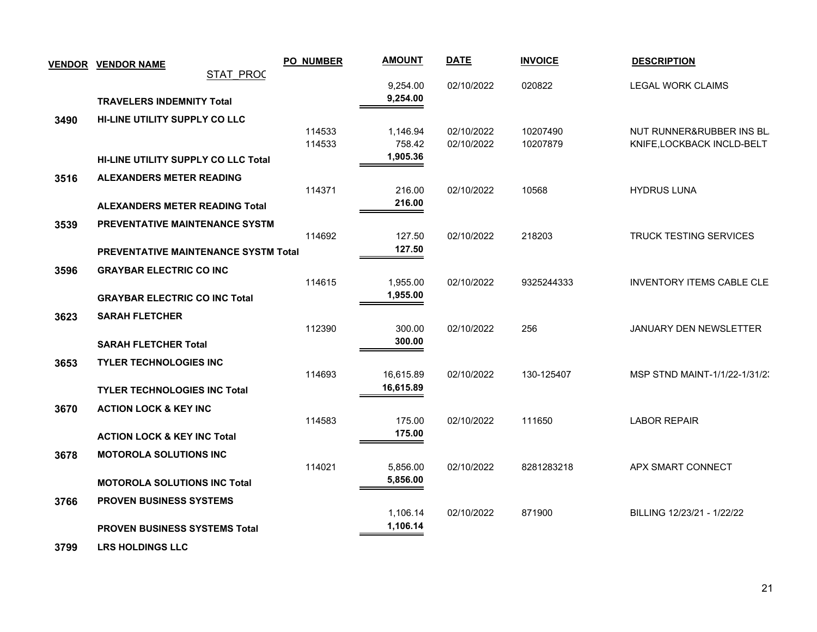|      | <b>VENDOR VENDOR NAME</b>                   | <b>PO_NUMBER</b> | <b>AMOUNT</b>        | <b>DATE</b>              | <b>INVOICE</b>       | <b>DESCRIPTION</b>                                      |
|------|---------------------------------------------|------------------|----------------------|--------------------------|----------------------|---------------------------------------------------------|
|      | <b>STAT PROC</b>                            |                  |                      |                          |                      |                                                         |
|      |                                             |                  | 9,254.00<br>9,254.00 | 02/10/2022               | 020822               | <b>LEGAL WORK CLAIMS</b>                                |
|      | <b>TRAVELERS INDEMNITY Total</b>            |                  |                      |                          |                      |                                                         |
| 3490 | HI-LINE UTILITY SUPPLY CO LLC               |                  |                      |                          |                      |                                                         |
|      |                                             | 114533<br>114533 | 1,146.94<br>758.42   | 02/10/2022<br>02/10/2022 | 10207490<br>10207879 | NUT RUNNER&RUBBER INS BL.<br>KNIFE, LOCKBACK INCLD-BELT |
|      | <b>HI-LINE UTILITY SUPPLY CO LLC Total</b>  |                  | 1,905.36             |                          |                      |                                                         |
|      |                                             |                  |                      |                          |                      |                                                         |
| 3516 | ALEXANDERS METER READING                    | 114371           | 216.00               | 02/10/2022               | 10568                | <b>HYDRUS LUNA</b>                                      |
|      | <b>ALEXANDERS METER READING Total</b>       |                  | 216.00               |                          |                      |                                                         |
|      |                                             |                  |                      |                          |                      |                                                         |
| 3539 | PREVENTATIVE MAINTENANCE SYSTM              | 114692           | 127.50               | 02/10/2022               | 218203               | TRUCK TESTING SERVICES                                  |
|      | <b>PREVENTATIVE MAINTENANCE SYSTM Total</b> |                  | 127.50               |                          |                      |                                                         |
|      |                                             |                  |                      |                          |                      |                                                         |
| 3596 | <b>GRAYBAR ELECTRIC CO INC</b>              | 114615           | 1,955.00             | 02/10/2022               | 9325244333           | <b>INVENTORY ITEMS CABLE CLE</b>                        |
|      | <b>GRAYBAR ELECTRIC CO INC Total</b>        |                  | 1,955.00             |                          |                      |                                                         |
|      |                                             |                  |                      |                          |                      |                                                         |
| 3623 | <b>SARAH FLETCHER</b>                       | 112390           | 300.00               | 02/10/2022               | 256                  | <b>JANUARY DEN NEWSLETTER</b>                           |
|      | <b>SARAH FLETCHER Total</b>                 |                  | 300.00               |                          |                      |                                                         |
|      |                                             |                  |                      |                          |                      |                                                         |
| 3653 | <b>TYLER TECHNOLOGIES INC</b>               | 114693           | 16,615.89            | 02/10/2022               | 130-125407           | MSP STND MAINT-1/1/22-1/31/2.                           |
|      | <b>TYLER TECHNOLOGIES INC Total</b>         |                  | 16,615.89            |                          |                      |                                                         |
|      | <b>ACTION LOCK &amp; KEY INC</b>            |                  |                      |                          |                      |                                                         |
| 3670 |                                             | 114583           | 175.00               | 02/10/2022               | 111650               | <b>LABOR REPAIR</b>                                     |
|      | <b>ACTION LOCK &amp; KEY INC Total</b>      |                  | 175.00               |                          |                      |                                                         |
| 3678 | <b>MOTOROLA SOLUTIONS INC</b>               |                  |                      |                          |                      |                                                         |
|      |                                             | 114021           | 5,856.00             | 02/10/2022               | 8281283218           | APX SMART CONNECT                                       |
|      | <b>MOTOROLA SOLUTIONS INC Total</b>         |                  | 5,856.00             |                          |                      |                                                         |
|      | <b>PROVEN BUSINESS SYSTEMS</b>              |                  |                      |                          |                      |                                                         |
| 3766 |                                             |                  | 1,106.14             | 02/10/2022               | 871900               | BILLING 12/23/21 - 1/22/22                              |
|      | <b>PROVEN BUSINESS SYSTEMS Total</b>        |                  | 1,106.14             |                          |                      |                                                         |
|      |                                             |                  |                      |                          |                      |                                                         |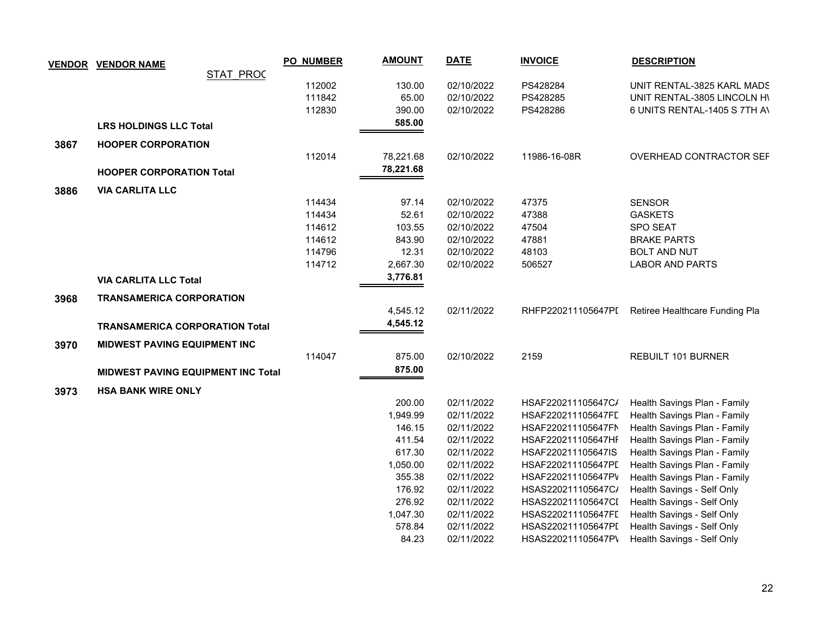|      | <b>VENDOR VENDOR NAME</b>                 | <b>PO_NUMBER</b> | <b>AMOUNT</b>      | <b>DATE</b>              | <b>INVOICE</b>                           | <b>DESCRIPTION</b>                                       |
|------|-------------------------------------------|------------------|--------------------|--------------------------|------------------------------------------|----------------------------------------------------------|
|      | <b>STAT PROC</b>                          |                  |                    |                          |                                          |                                                          |
|      |                                           | 112002           | 130.00             | 02/10/2022               | PS428284                                 | UNIT RENTAL-3825 KARL MADS                               |
|      |                                           | 111842           | 65.00              | 02/10/2022               | PS428285                                 | UNIT RENTAL-3805 LINCOLN HI                              |
|      |                                           | 112830           | 390.00             | 02/10/2022               | PS428286                                 | 6 UNITS RENTAL-1405 S 7TH AV                             |
|      | <b>LRS HOLDINGS LLC Total</b>             |                  | 585.00             |                          |                                          |                                                          |
| 3867 | <b>HOOPER CORPORATION</b>                 |                  |                    |                          |                                          |                                                          |
|      |                                           | 112014           | 78,221.68          | 02/10/2022               | 11986-16-08R                             | OVERHEAD CONTRACTOR SEF                                  |
|      | <b>HOOPER CORPORATION Total</b>           |                  | 78,221.68          |                          |                                          |                                                          |
| 3886 | <b>VIA CARLITA LLC</b>                    |                  |                    |                          |                                          |                                                          |
|      |                                           | 114434           | 97.14              | 02/10/2022               | 47375                                    | <b>SENSOR</b>                                            |
|      |                                           | 114434           | 52.61              | 02/10/2022               | 47388                                    | <b>GASKETS</b>                                           |
|      |                                           | 114612           | 103.55             | 02/10/2022               | 47504                                    | <b>SPO SEAT</b>                                          |
|      |                                           | 114612           | 843.90             | 02/10/2022               | 47881                                    | <b>BRAKE PARTS</b>                                       |
|      |                                           | 114796           | 12.31              | 02/10/2022               | 48103                                    | <b>BOLT AND NUT</b>                                      |
|      |                                           | 114712           | 2,667.30           | 02/10/2022               | 506527                                   | <b>LABOR AND PARTS</b>                                   |
|      | <b>VIA CARLITA LLC Total</b>              |                  | 3,776.81           |                          |                                          |                                                          |
| 3968 | <b>TRANSAMERICA CORPORATION</b>           |                  |                    |                          |                                          |                                                          |
|      |                                           |                  | 4,545.12           | 02/11/2022               |                                          | RHFP220211105647PI Retiree Healthcare Funding Pla        |
|      | <b>TRANSAMERICA CORPORATION Total</b>     |                  | 4,545.12           |                          |                                          |                                                          |
|      |                                           |                  |                    |                          |                                          |                                                          |
| 3970 | <b>MIDWEST PAVING EQUIPMENT INC</b>       | 114047           | 875.00             | 02/10/2022               | 2159                                     | REBUILT 101 BURNER                                       |
|      |                                           |                  | 875.00             |                          |                                          |                                                          |
|      | <b>MIDWEST PAVING EQUIPMENT INC Total</b> |                  |                    |                          |                                          |                                                          |
| 3973 | <b>HSA BANK WIRE ONLY</b>                 |                  |                    |                          |                                          |                                                          |
|      |                                           |                  | 200.00             | 02/11/2022               | HSAF220211105647C/                       | Health Savings Plan - Family                             |
|      |                                           |                  | 1,949.99           | 02/11/2022               | HSAF220211105647FL                       | Health Savings Plan - Family                             |
|      |                                           |                  | 146.15             | 02/11/2022               | HSAF220211105647FN                       | Health Savings Plan - Family                             |
|      |                                           |                  | 411.54             | 02/11/2022               | HSAF220211105647HF                       | Health Savings Plan - Family                             |
|      |                                           |                  | 617.30             | 02/11/2022               | HSAF220211105647IS                       | Health Savings Plan - Family                             |
|      |                                           |                  | 1,050.00           | 02/11/2022               | HSAF220211105647PL                       | Health Savings Plan - Family                             |
|      |                                           |                  | 355.38             | 02/11/2022               | HSAF220211105647PV                       | Health Savings Plan - Family                             |
|      |                                           |                  | 176.92             | 02/11/2022               | HSAS220211105647C/                       | Health Savings - Self Only                               |
|      |                                           |                  | 276.92             | 02/11/2022               | HSAS220211105647CI                       | Health Savings - Self Only                               |
|      |                                           |                  | 1,047.30<br>578.84 | 02/11/2022<br>02/11/2022 | HSAS220211105647FL<br>HSAS220211105647PI | Health Savings - Self Only<br>Health Savings - Self Only |
|      |                                           |                  | 84.23              | 02/11/2022               | HSAS220211105647P\                       | Health Savings - Self Only                               |
|      |                                           |                  |                    |                          |                                          |                                                          |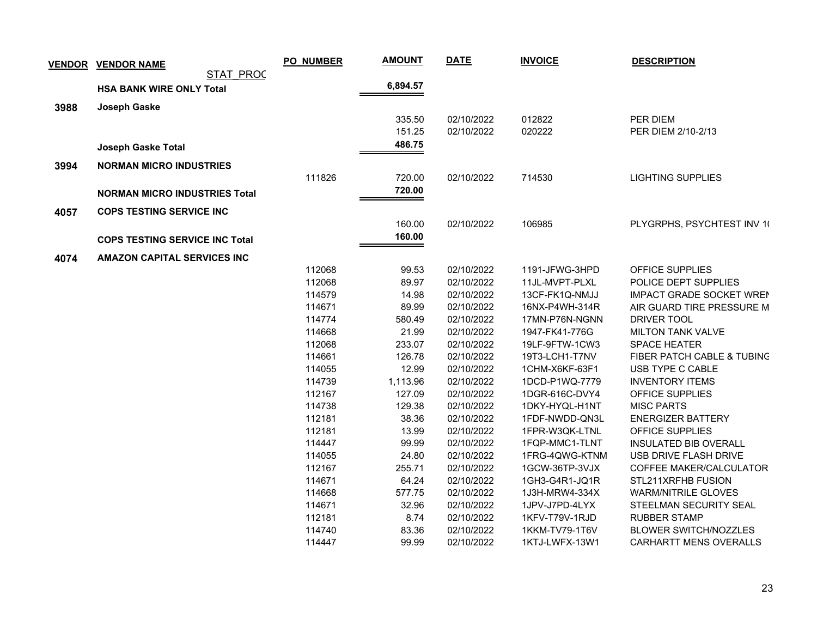|      | <b>VENDOR VENDOR NAME</b>             | <b>PO_NUMBER</b> | <b>AMOUNT</b> | <b>DATE</b> | <b>INVOICE</b> | <b>DESCRIPTION</b>                    |
|------|---------------------------------------|------------------|---------------|-------------|----------------|---------------------------------------|
|      | STAT PROC                             |                  |               |             |                |                                       |
|      | <b>HSA BANK WIRE ONLY Total</b>       |                  | 6,894.57      |             |                |                                       |
| 3988 | Joseph Gaske                          |                  |               |             |                |                                       |
|      |                                       |                  | 335.50        | 02/10/2022  | 012822         | PER DIEM                              |
|      |                                       |                  | 151.25        | 02/10/2022  | 020222         | PER DIEM 2/10-2/13                    |
|      | <b>Joseph Gaske Total</b>             |                  | 486.75        |             |                |                                       |
|      |                                       |                  |               |             |                |                                       |
| 3994 | <b>NORMAN MICRO INDUSTRIES</b>        |                  |               |             |                |                                       |
|      |                                       | 111826           | 720.00        | 02/10/2022  | 714530         | <b>LIGHTING SUPPLIES</b>              |
|      | <b>NORMAN MICRO INDUSTRIES Total</b>  |                  | 720.00        |             |                |                                       |
| 4057 | <b>COPS TESTING SERVICE INC</b>       |                  |               |             |                |                                       |
|      |                                       |                  | 160.00        | 02/10/2022  | 106985         | PLYGRPHS, PSYCHTEST INV 10            |
|      | <b>COPS TESTING SERVICE INC Total</b> |                  | 160.00        |             |                |                                       |
|      |                                       |                  |               |             |                |                                       |
| 4074 | <b>AMAZON CAPITAL SERVICES INC</b>    | 112068           | 99.53         | 02/10/2022  | 1191-JFWG-3HPD | OFFICE SUPPLIES                       |
|      |                                       | 112068           | 89.97         | 02/10/2022  | 11JL-MVPT-PLXL | POLICE DEPT SUPPLIES                  |
|      |                                       | 114579           | 14.98         | 02/10/2022  | 13CF-FK1Q-NMJJ | <b>IMPACT GRADE SOCKET WREN</b>       |
|      |                                       | 114671           | 89.99         | 02/10/2022  | 16NX-P4WH-314R | AIR GUARD TIRE PRESSURE M             |
|      |                                       | 114774           | 580.49        | 02/10/2022  | 17MN-P76N-NGNN | DRIVER TOOL                           |
|      |                                       | 114668           | 21.99         | 02/10/2022  | 1947-FK41-776G | <b>MILTON TANK VALVE</b>              |
|      |                                       | 112068           | 233.07        | 02/10/2022  | 19LF-9FTW-1CW3 | <b>SPACE HEATER</b>                   |
|      |                                       | 114661           | 126.78        | 02/10/2022  | 19T3-LCH1-T7NV | <b>FIBER PATCH CABLE &amp; TUBING</b> |
|      |                                       | 114055           | 12.99         | 02/10/2022  | 1CHM-X6KF-63F1 | USB TYPE C CABLE                      |
|      |                                       | 114739           | 1,113.96      | 02/10/2022  | 1DCD-P1WQ-7779 | <b>INVENTORY ITEMS</b>                |
|      |                                       | 112167           | 127.09        | 02/10/2022  | 1DGR-616C-DVY4 | OFFICE SUPPLIES                       |
|      |                                       | 114738           | 129.38        | 02/10/2022  | 1DKY-HYQL-H1NT | <b>MISC PARTS</b>                     |
|      |                                       | 112181           | 38.36         | 02/10/2022  | 1FDF-NWDD-QN3L | <b>ENERGIZER BATTERY</b>              |
|      |                                       | 112181           | 13.99         | 02/10/2022  | 1FPR-W3QK-LTNL | OFFICE SUPPLIES                       |
|      |                                       | 114447           | 99.99         | 02/10/2022  | 1FQP-MMC1-TLNT | <b>INSULATED BIB OVERALL</b>          |
|      |                                       | 114055           | 24.80         | 02/10/2022  | 1FRG-4QWG-KTNM | USB DRIVE FLASH DRIVE                 |
|      |                                       | 112167           | 255.71        | 02/10/2022  | 1GCW-36TP-3VJX | COFFEE MAKER/CALCULATOR               |
|      |                                       | 114671           | 64.24         | 02/10/2022  | 1GH3-G4R1-JQ1R | STL211XRFHB FUSION                    |
|      |                                       | 114668           | 577.75        | 02/10/2022  | 1J3H-MRW4-334X | <b>WARM/NITRILE GLOVES</b>            |
|      |                                       | 114671           | 32.96         | 02/10/2022  | 1JPV-J7PD-4LYX | STEELMAN SECURITY SEAL                |
|      |                                       | 112181           | 8.74          | 02/10/2022  | 1KFV-T79V-1RJD | <b>RUBBER STAMP</b>                   |
|      |                                       | 114740           | 83.36         | 02/10/2022  | 1KKM-TV79-1T6V | <b>BLOWER SWITCH/NOZZLES</b>          |
|      |                                       | 114447           | 99.99         | 02/10/2022  | 1KTJ-LWFX-13W1 | <b>CARHARTT MENS OVERALLS</b>         |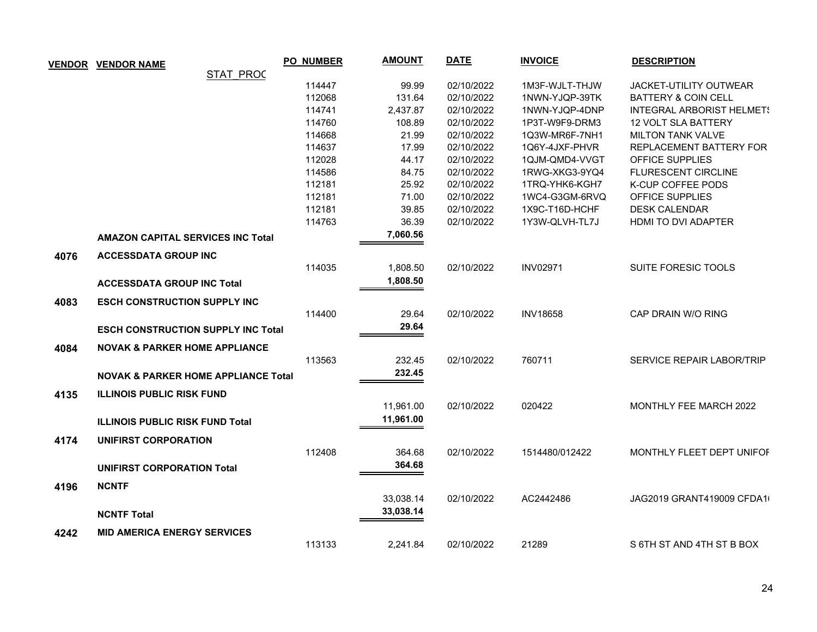| <b>VENDOR</b> | <b>VENDOR NAME</b>                             | <b>PO_NUMBER</b> | <b>AMOUNT</b> | <b>DATE</b> | <b>INVOICE</b>  | <b>DESCRIPTION</b>               |
|---------------|------------------------------------------------|------------------|---------------|-------------|-----------------|----------------------------------|
|               | <b>STAT PROC</b>                               |                  |               |             |                 |                                  |
|               |                                                | 114447           | 99.99         | 02/10/2022  | 1M3F-WJLT-THJW  | <b>JACKET-UTILITY OUTWEAR</b>    |
|               |                                                | 112068           | 131.64        | 02/10/2022  | 1NWN-YJQP-39TK  | <b>BATTERY &amp; COIN CELL</b>   |
|               |                                                | 114741           | 2,437.87      | 02/10/2022  | 1NWN-YJQP-4DNP  | <b>INTEGRAL ARBORIST HELMET!</b> |
|               |                                                | 114760           | 108.89        | 02/10/2022  | 1P3T-W9F9-DRM3  | 12 VOLT SLA BATTERY              |
|               |                                                | 114668           | 21.99         | 02/10/2022  | 1Q3W-MR6F-7NH1  | <b>MILTON TANK VALVE</b>         |
|               |                                                | 114637           | 17.99         | 02/10/2022  | 1Q6Y-4JXF-PHVR  | REPLACEMENT BATTERY FOR          |
|               |                                                | 112028           | 44.17         | 02/10/2022  | 1QJM-QMD4-VVGT  | <b>OFFICE SUPPLIES</b>           |
|               |                                                | 114586           | 84.75         | 02/10/2022  | 1RWG-XKG3-9YQ4  | <b>FLURESCENT CIRCLINE</b>       |
|               |                                                | 112181           | 25.92         | 02/10/2022  | 1TRQ-YHK6-KGH7  | K-CUP COFFEE PODS                |
|               |                                                | 112181           | 71.00         | 02/10/2022  | 1WC4-G3GM-6RVQ  | OFFICE SUPPLIES                  |
|               |                                                | 112181           | 39.85         | 02/10/2022  | 1X9C-T16D-HCHF  | <b>DESK CALENDAR</b>             |
|               |                                                | 114763           | 36.39         | 02/10/2022  | 1Y3W-QLVH-TL7J  | HDMI TO DVI ADAPTER              |
|               | <b>AMAZON CAPITAL SERVICES INC Total</b>       |                  | 7,060.56      |             |                 |                                  |
| 4076          | <b>ACCESSDATA GROUP INC</b>                    |                  |               |             |                 |                                  |
|               |                                                | 114035           | 1,808.50      | 02/10/2022  | <b>INV02971</b> | SUITE FORESIC TOOLS              |
|               |                                                |                  | 1,808.50      |             |                 |                                  |
|               | <b>ACCESSDATA GROUP INC Total</b>              |                  |               |             |                 |                                  |
| 4083          | <b>ESCH CONSTRUCTION SUPPLY INC</b>            |                  |               |             |                 |                                  |
|               |                                                | 114400           | 29.64         | 02/10/2022  | <b>INV18658</b> | CAP DRAIN W/O RING               |
|               | <b>ESCH CONSTRUCTION SUPPLY INC Total</b>      |                  | 29.64         |             |                 |                                  |
|               |                                                |                  |               |             |                 |                                  |
| 4084          | <b>NOVAK &amp; PARKER HOME APPLIANCE</b>       |                  |               |             |                 |                                  |
|               |                                                | 113563           | 232.45        | 02/10/2022  | 760711          | SERVICE REPAIR LABOR/TRIP        |
|               | <b>NOVAK &amp; PARKER HOME APPLIANCE Total</b> |                  | 232.45        |             |                 |                                  |
| 4135          | <b>ILLINOIS PUBLIC RISK FUND</b>               |                  |               |             |                 |                                  |
|               |                                                |                  | 11,961.00     | 02/10/2022  | 020422          | MONTHLY FEE MARCH 2022           |
|               | <b>ILLINOIS PUBLIC RISK FUND Total</b>         |                  | 11,961.00     |             |                 |                                  |
|               |                                                |                  |               |             |                 |                                  |
| 4174          | UNIFIRST CORPORATION                           |                  |               |             |                 |                                  |
|               |                                                | 112408           | 364.68        | 02/10/2022  | 1514480/012422  | MONTHLY FLEET DEPT UNIFOF        |
|               | <b>UNIFIRST CORPORATION Total</b>              |                  | 364.68        |             |                 |                                  |
| 4196          | <b>NCNTF</b>                                   |                  |               |             |                 |                                  |
|               |                                                |                  | 33,038.14     | 02/10/2022  | AC2442486       | JAG2019 GRANT419009 CFDA1        |
|               |                                                |                  | 33,038.14     |             |                 |                                  |
|               | <b>NCNTF Total</b>                             |                  |               |             |                 |                                  |
| 4242          | <b>MID AMERICA ENERGY SERVICES</b>             |                  |               |             |                 |                                  |
|               |                                                | 113133           | 2,241.84      | 02/10/2022  | 21289           | S 6TH ST AND 4TH ST B BOX        |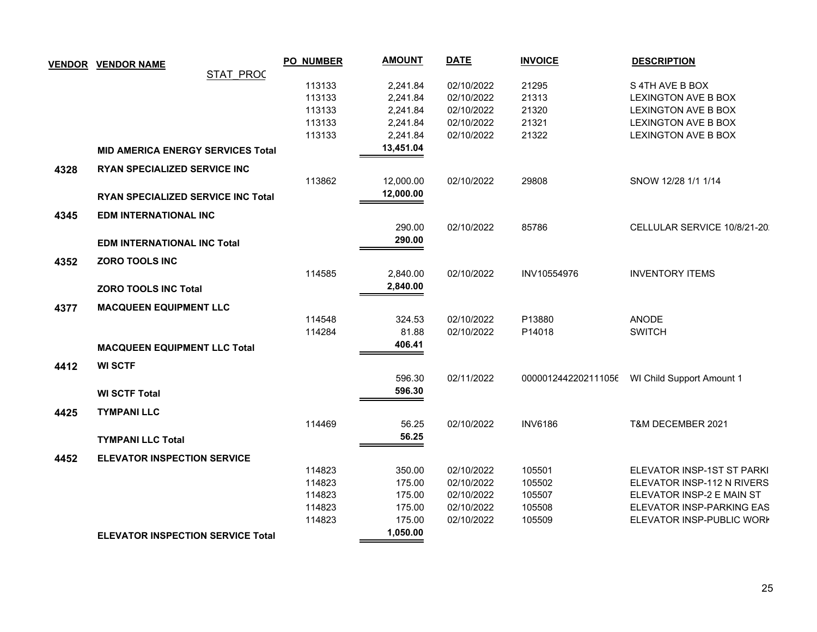|      | <b>VENDOR VENDOR NAME</b>                | <b>PO_NUMBER</b> | <b>AMOUNT</b> | <b>DATE</b> | <b>INVOICE</b>      | <b>DESCRIPTION</b>          |
|------|------------------------------------------|------------------|---------------|-------------|---------------------|-----------------------------|
|      | <b>STAT PROC</b>                         |                  |               |             |                     |                             |
|      |                                          | 113133           | 2,241.84      | 02/10/2022  | 21295               | S 4TH AVE B BOX             |
|      |                                          | 113133           | 2,241.84      | 02/10/2022  | 21313               | <b>LEXINGTON AVE B BOX</b>  |
|      |                                          | 113133           | 2,241.84      | 02/10/2022  | 21320               | <b>LEXINGTON AVE B BOX</b>  |
|      |                                          | 113133           | 2,241.84      | 02/10/2022  | 21321               | <b>LEXINGTON AVE B BOX</b>  |
|      |                                          | 113133           | 2,241.84      | 02/10/2022  | 21322               | <b>LEXINGTON AVE B BOX</b>  |
|      | <b>MID AMERICA ENERGY SERVICES Total</b> |                  | 13,451.04     |             |                     |                             |
| 4328 | <b>RYAN SPECIALIZED SERVICE INC</b>      |                  |               |             |                     |                             |
|      |                                          | 113862           | 12,000.00     | 02/10/2022  | 29808               | SNOW 12/28 1/1 1/14         |
|      | RYAN SPECIALIZED SERVICE INC Total       |                  | 12,000.00     |             |                     |                             |
| 4345 | <b>EDM INTERNATIONAL INC</b>             |                  |               |             |                     |                             |
|      |                                          |                  | 290.00        | 02/10/2022  | 85786               | CELLULAR SERVICE 10/8/21-20 |
|      | <b>EDM INTERNATIONAL INC Total</b>       |                  | 290.00        |             |                     |                             |
|      |                                          |                  |               |             |                     |                             |
| 4352 | ZORO TOOLS INC                           |                  |               |             |                     |                             |
|      |                                          | 114585           | 2,840.00      | 02/10/2022  | INV10554976         | <b>INVENTORY ITEMS</b>      |
|      | <b>ZORO TOOLS INC Total</b>              |                  | 2,840.00      |             |                     |                             |
| 4377 | <b>MACQUEEN EQUIPMENT LLC</b>            |                  |               |             |                     |                             |
|      |                                          | 114548           | 324.53        | 02/10/2022  | P13880              | <b>ANODE</b>                |
|      |                                          | 114284           | 81.88         | 02/10/2022  | P14018              | <b>SWITCH</b>               |
|      | <b>MACQUEEN EQUIPMENT LLC Total</b>      |                  | 406.41        |             |                     |                             |
| 4412 | <b>WI SCTF</b>                           |                  |               |             |                     |                             |
|      |                                          |                  | 596.30        | 02/11/2022  | 0000012442202111056 | WI Child Support Amount 1   |
|      | <b>WI SCTF Total</b>                     |                  | 596.30        |             |                     |                             |
|      |                                          |                  |               |             |                     |                             |
| 4425 | <b>TYMPANI LLC</b>                       |                  |               |             |                     |                             |
|      |                                          | 114469           | 56.25         | 02/10/2022  | <b>INV6186</b>      | T&M DECEMBER 2021           |
|      | <b>TYMPANI LLC Total</b>                 |                  | 56.25         |             |                     |                             |
| 4452 | <b>ELEVATOR INSPECTION SERVICE</b>       |                  |               |             |                     |                             |
|      |                                          | 114823           | 350.00        | 02/10/2022  | 105501              | ELEVATOR INSP-1ST ST PARKI  |
|      |                                          | 114823           | 175.00        | 02/10/2022  | 105502              | ELEVATOR INSP-112 N RIVERS  |
|      |                                          | 114823           | 175.00        | 02/10/2022  | 105507              | ELEVATOR INSP-2 E MAIN ST   |
|      |                                          | 114823           | 175.00        | 02/10/2022  | 105508              | ELEVATOR INSP-PARKING EAS   |
|      |                                          | 114823           | 175.00        | 02/10/2022  | 105509              | ELEVATOR INSP-PUBLIC WORK   |
|      | <b>ELEVATOR INSPECTION SERVICE Total</b> |                  | 1,050.00      |             |                     |                             |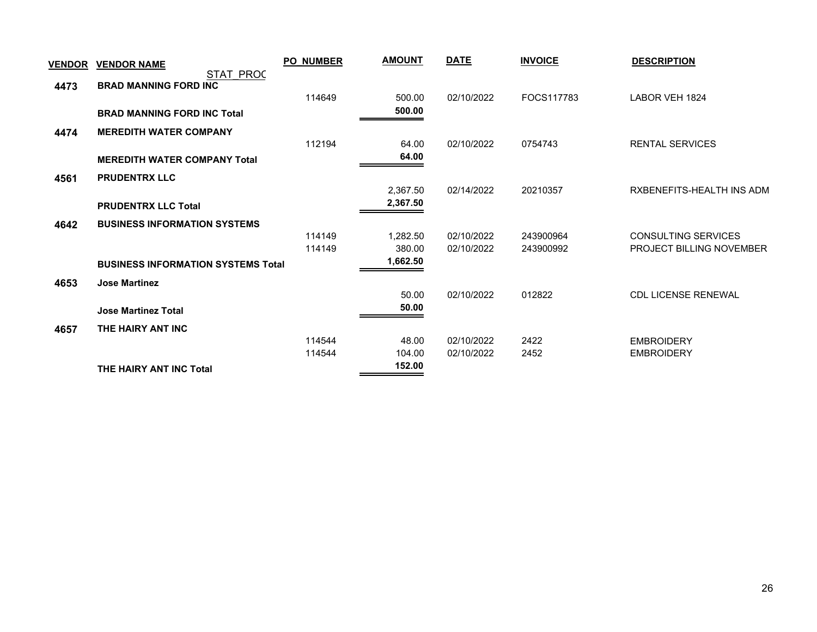| <b>VENDOR</b> | <b>VENDOR NAME</b>                        | <b>PO_NUMBER</b> | <b>AMOUNT</b> | <b>DATE</b> | <b>INVOICE</b> | <b>DESCRIPTION</b>              |
|---------------|-------------------------------------------|------------------|---------------|-------------|----------------|---------------------------------|
|               | STAT PROC                                 |                  |               |             |                |                                 |
| 4473          | <b>BRAD MANNING FORD INC</b>              | 114649           | 500.00        | 02/10/2022  | FOCS117783     | LABOR VEH 1824                  |
|               | <b>BRAD MANNING FORD INC Total</b>        |                  | 500.00        |             |                |                                 |
|               |                                           |                  |               |             |                |                                 |
| 4474          | <b>MEREDITH WATER COMPANY</b>             |                  |               |             |                |                                 |
|               |                                           | 112194           | 64.00         | 02/10/2022  | 0754743        | <b>RENTAL SERVICES</b>          |
|               | <b>MEREDITH WATER COMPANY Total</b>       |                  | 64.00         |             |                |                                 |
| 4561          | <b>PRUDENTRX LLC</b>                      |                  |               |             |                |                                 |
|               |                                           |                  | 2,367.50      | 02/14/2022  | 20210357       | RXBENEFITS-HEALTH INS ADM       |
|               | <b>PRUDENTRX LLC Total</b>                |                  | 2,367.50      |             |                |                                 |
| 4642          | <b>BUSINESS INFORMATION SYSTEMS</b>       |                  |               |             |                |                                 |
|               |                                           | 114149           | 1,282.50      | 02/10/2022  | 243900964      | <b>CONSULTING SERVICES</b>      |
|               |                                           | 114149           | 380.00        | 02/10/2022  | 243900992      | <b>PROJECT BILLING NOVEMBER</b> |
|               | <b>BUSINESS INFORMATION SYSTEMS Total</b> |                  | 1,662.50      |             |                |                                 |
| 4653          | <b>Jose Martinez</b>                      |                  |               |             |                |                                 |
|               |                                           |                  | 50.00         | 02/10/2022  | 012822         | <b>CDL LICENSE RENEWAL</b>      |
|               | <b>Jose Martinez Total</b>                |                  | 50.00         |             |                |                                 |
| 4657          | THE HAIRY ANT INC                         |                  |               |             |                |                                 |
|               |                                           | 114544           | 48.00         | 02/10/2022  | 2422           | <b>EMBROIDERY</b>               |
|               |                                           | 114544           | 104.00        | 02/10/2022  | 2452           | <b>EMBROIDERY</b>               |
|               | THE HAIRY ANT INC Total                   |                  | 152.00        |             |                |                                 |